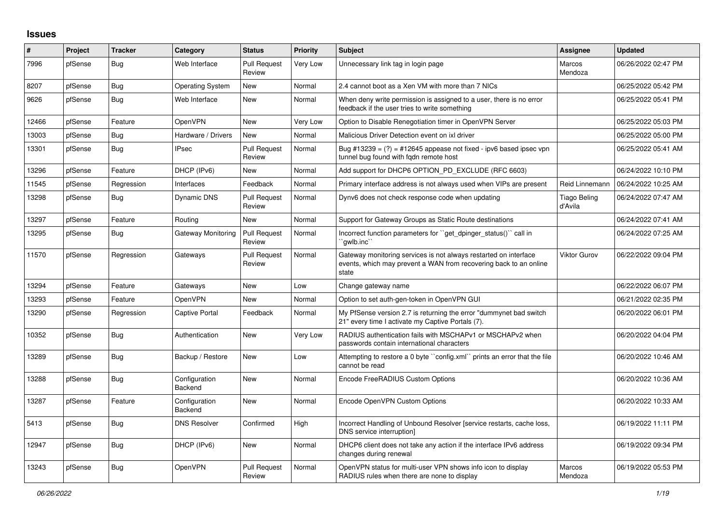## **Issues**

| #     | Project | <b>Tracker</b> | Category                 | <b>Status</b>                 | <b>Priority</b> | <b>Subject</b>                                                                                                                                 | Assignee                       | <b>Updated</b>      |
|-------|---------|----------------|--------------------------|-------------------------------|-----------------|------------------------------------------------------------------------------------------------------------------------------------------------|--------------------------------|---------------------|
| 7996  | pfSense | Bug            | Web Interface            | <b>Pull Request</b><br>Review | Very Low        | Unnecessary link tag in login page                                                                                                             | Marcos<br>Mendoza              | 06/26/2022 02:47 PM |
| 8207  | pfSense | Bug            | <b>Operating System</b>  | New                           | Normal          | 2.4 cannot boot as a Xen VM with more than 7 NICs                                                                                              |                                | 06/25/2022 05:42 PM |
| 9626  | pfSense | Bug            | Web Interface            | New                           | Normal          | When deny write permission is assigned to a user, there is no error<br>feedback if the user tries to write something                           |                                | 06/25/2022 05:41 PM |
| 12466 | pfSense | Feature        | OpenVPN                  | New                           | Very Low        | Option to Disable Renegotiation timer in OpenVPN Server                                                                                        |                                | 06/25/2022 05:03 PM |
| 13003 | pfSense | <b>Bug</b>     | Hardware / Drivers       | <b>New</b>                    | Normal          | Malicious Driver Detection event on ixl driver                                                                                                 |                                | 06/25/2022 05:00 PM |
| 13301 | pfSense | <b>Bug</b>     | <b>IPsec</b>             | <b>Pull Request</b><br>Review | Normal          | Bug #13239 = $(?)$ = #12645 appease not fixed - ipv6 based ipsec vpn<br>tunnel bug found with fgdn remote host                                 |                                | 06/25/2022 05:41 AM |
| 13296 | pfSense | Feature        | DHCP (IPv6)              | New                           | Normal          | Add support for DHCP6 OPTION PD EXCLUDE (RFC 6603)                                                                                             |                                | 06/24/2022 10:10 PM |
| 11545 | pfSense | Regression     | Interfaces               | Feedback                      | Normal          | Primary interface address is not always used when VIPs are present                                                                             | Reid Linnemann                 | 06/24/2022 10:25 AM |
| 13298 | pfSense | <b>Bug</b>     | <b>Dynamic DNS</b>       | Pull Request<br>Review        | Normal          | Dynv6 does not check response code when updating                                                                                               | <b>Tiago Beling</b><br>d'Avila | 06/24/2022 07:47 AM |
| 13297 | pfSense | Feature        | Routing                  | New                           | Normal          | Support for Gateway Groups as Static Route destinations                                                                                        |                                | 06/24/2022 07:41 AM |
| 13295 | pfSense | <b>Bug</b>     | Gateway Monitoring       | <b>Pull Request</b><br>Review | Normal          | Incorrect function parameters for "get_dpinger_status()" call in<br>`gwlb.inc``                                                                |                                | 06/24/2022 07:25 AM |
| 11570 | pfSense | Regression     | Gateways                 | <b>Pull Request</b><br>Review | Normal          | Gateway monitoring services is not always restarted on interface<br>events, which may prevent a WAN from recovering back to an online<br>state | <b>Viktor Gurov</b>            | 06/22/2022 09:04 PM |
| 13294 | pfSense | Feature        | Gateways                 | New                           | Low             | Change gateway name                                                                                                                            |                                | 06/22/2022 06:07 PM |
| 13293 | pfSense | Feature        | OpenVPN                  | <b>New</b>                    | Normal          | Option to set auth-gen-token in OpenVPN GUI                                                                                                    |                                | 06/21/2022 02:35 PM |
| 13290 | pfSense | Regression     | Captive Portal           | Feedback                      | Normal          | My PfSense version 2.7 is returning the error "dummynet bad switch<br>21" every time I activate my Captive Portals (7).                        |                                | 06/20/2022 06:01 PM |
| 10352 | pfSense | <b>Bug</b>     | Authentication           | <b>New</b>                    | Very Low        | RADIUS authentication fails with MSCHAPv1 or MSCHAPv2 when<br>passwords contain international characters                                       |                                | 06/20/2022 04:04 PM |
| 13289 | pfSense | <b>Bug</b>     | Backup / Restore         | <b>New</b>                    | Low             | Attempting to restore a 0 byte ``config.xml`` prints an error that the file<br>cannot be read                                                  |                                | 06/20/2022 10:46 AM |
| 13288 | pfSense | <b>Bug</b>     | Configuration<br>Backend | New                           | Normal          | Encode FreeRADIUS Custom Options                                                                                                               |                                | 06/20/2022 10:36 AM |
| 13287 | pfSense | Feature        | Configuration<br>Backend | New                           | Normal          | Encode OpenVPN Custom Options                                                                                                                  |                                | 06/20/2022 10:33 AM |
| 5413  | pfSense | Bug            | <b>DNS Resolver</b>      | Confirmed                     | High            | Incorrect Handling of Unbound Resolver [service restarts, cache loss,<br>DNS service interruption]                                             |                                | 06/19/2022 11:11 PM |
| 12947 | pfSense | <b>Bug</b>     | DHCP (IPv6)              | New                           | Normal          | DHCP6 client does not take any action if the interface IPv6 address<br>changes during renewal                                                  |                                | 06/19/2022 09:34 PM |
| 13243 | pfSense | <b>Bug</b>     | OpenVPN                  | <b>Pull Request</b><br>Review | Normal          | OpenVPN status for multi-user VPN shows info icon to display<br>RADIUS rules when there are none to display                                    | Marcos<br>Mendoza              | 06/19/2022 05:53 PM |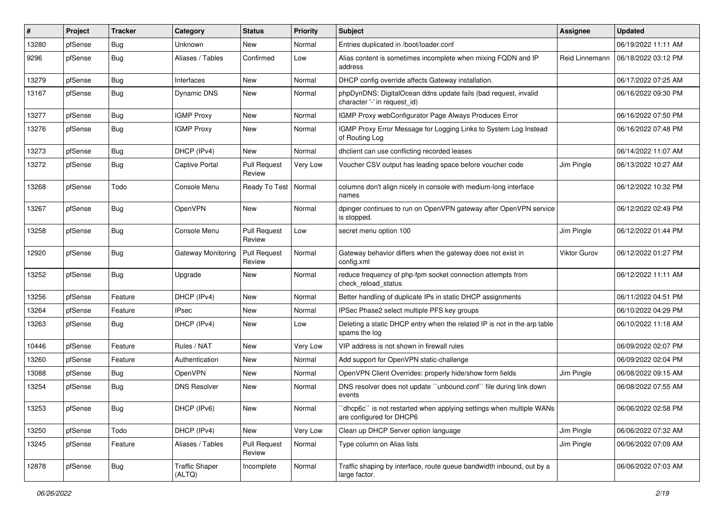| #     | Project | <b>Tracker</b> | Category                        | <b>Status</b>                 | <b>Priority</b> | Subject                                                                                         | Assignee       | <b>Updated</b>      |
|-------|---------|----------------|---------------------------------|-------------------------------|-----------------|-------------------------------------------------------------------------------------------------|----------------|---------------------|
| 13280 | pfSense | <b>Bug</b>     | Unknown                         | New                           | Normal          | Entries duplicated in /boot/loader.conf                                                         |                | 06/19/2022 11:11 AM |
| 9296  | pfSense | <b>Bug</b>     | Aliases / Tables                | Confirmed                     | Low             | Alias content is sometimes incomplete when mixing FQDN and IP<br>address                        | Reid Linnemann | 06/18/2022 03:12 PM |
| 13279 | pfSense | <b>Bug</b>     | Interfaces                      | <b>New</b>                    | Normal          | DHCP config override affects Gateway installation.                                              |                | 06/17/2022 07:25 AM |
| 13167 | pfSense | <b>Bug</b>     | Dynamic DNS                     | New                           | Normal          | phpDynDNS: DigitalOcean ddns update fails (bad request, invalid<br>character '-' in request_id) |                | 06/16/2022 09:30 PM |
| 13277 | pfSense | Bug            | <b>IGMP Proxy</b>               | New                           | Normal          | IGMP Proxy webConfigurator Page Always Produces Error                                           |                | 06/16/2022 07:50 PM |
| 13276 | pfSense | <b>Bug</b>     | <b>IGMP Proxy</b>               | New                           | Normal          | IGMP Proxy Error Message for Logging Links to System Log Instead<br>of Routing Log              |                | 06/16/2022 07:48 PM |
| 13273 | pfSense | <b>Bug</b>     | DHCP (IPv4)                     | New                           | Normal          | dhclient can use conflicting recorded leases                                                    |                | 06/14/2022 11:07 AM |
| 13272 | pfSense | <b>Bug</b>     | <b>Captive Portal</b>           | <b>Pull Request</b><br>Review | Very Low        | Voucher CSV output has leading space before voucher code                                        | Jim Pingle     | 06/13/2022 10:27 AM |
| 13268 | pfSense | Todo           | Console Menu                    | Ready To Test   Normal        |                 | columns don't align nicely in console with medium-long interface<br>names                       |                | 06/12/2022 10:32 PM |
| 13267 | pfSense | Bug            | OpenVPN                         | New                           | Normal          | dpinger continues to run on OpenVPN gateway after OpenVPN service<br>is stopped.                |                | 06/12/2022 02:49 PM |
| 13258 | pfSense | <b>Bug</b>     | Console Menu                    | <b>Pull Request</b><br>Review | Low             | secret menu option 100                                                                          | Jim Pingle     | 06/12/2022 01:44 PM |
| 12920 | pfSense | <b>Bug</b>     | <b>Gateway Monitoring</b>       | <b>Pull Request</b><br>Review | Normal          | Gateway behavior differs when the gateway does not exist in<br>config.xml                       | Viktor Gurov   | 06/12/2022 01:27 PM |
| 13252 | pfSense | <b>Bug</b>     | Upgrade                         | New                           | Normal          | reduce frequency of php-fpm socket connection attempts from<br>check reload status              |                | 06/12/2022 11:11 AM |
| 13256 | pfSense | Feature        | DHCP (IPv4)                     | New                           | Normal          | Better handling of duplicate IPs in static DHCP assignments                                     |                | 06/11/2022 04:51 PM |
| 13264 | pfSense | Feature        | <b>IPsec</b>                    | New                           | Normal          | IPSec Phase2 select multiple PFS key groups                                                     |                | 06/10/2022 04:29 PM |
| 13263 | pfSense | <b>Bug</b>     | DHCP (IPv4)                     | New                           | Low             | Deleting a static DHCP entry when the related IP is not in the arp table<br>spams the log       |                | 06/10/2022 11:18 AM |
| 10446 | pfSense | Feature        | Rules / NAT                     | <b>New</b>                    | Very Low        | VIP address is not shown in firewall rules                                                      |                | 06/09/2022 02:07 PM |
| 13260 | pfSense | Feature        | Authentication                  | New                           | Normal          | Add support for OpenVPN static-challenge                                                        |                | 06/09/2022 02:04 PM |
| 13088 | pfSense | <b>Bug</b>     | OpenVPN                         | New                           | Normal          | OpenVPN Client Overrides: properly hide/show form fields                                        | Jim Pingle     | 06/08/2022 09:15 AM |
| 13254 | pfSense | <b>Bug</b>     | <b>DNS Resolver</b>             | New                           | Normal          | DNS resolver does not update "unbound.conf" file during link down<br>events                     |                | 06/08/2022 07:55 AM |
| 13253 | pfSense | <b>Bug</b>     | DHCP (IPv6)                     | New                           | Normal          | "dhcp6c" is not restarted when applying settings when multiple WANs<br>are configured for DHCP6 |                | 06/06/2022 02:58 PM |
| 13250 | pfSense | Todo           | DHCP (IPv4)                     | New                           | Very Low        | Clean up DHCP Server option language                                                            | Jim Pingle     | 06/06/2022 07:32 AM |
| 13245 | pfSense | Feature        | Aliases / Tables                | <b>Pull Request</b><br>Review | Normal          | Type column on Alias lists                                                                      | Jim Pingle     | 06/06/2022 07:09 AM |
| 12878 | pfSense | <b>Bug</b>     | <b>Traffic Shaper</b><br>(ALTQ) | Incomplete                    | Normal          | Traffic shaping by interface, route queue bandwidth inbound, out by a<br>large factor.          |                | 06/06/2022 07:03 AM |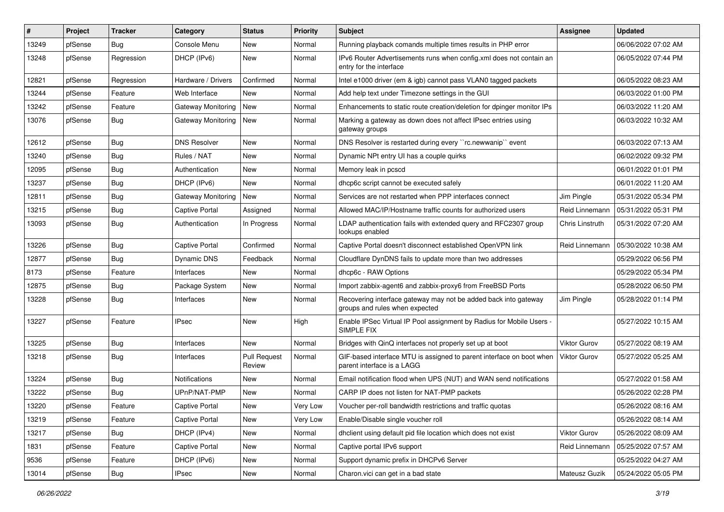| #     | Project | <b>Tracker</b> | Category              | <b>Status</b>                 | <b>Priority</b> | <b>Subject</b>                                                                                     | Assignee            | <b>Updated</b>      |
|-------|---------|----------------|-----------------------|-------------------------------|-----------------|----------------------------------------------------------------------------------------------------|---------------------|---------------------|
| 13249 | pfSense | Bug            | Console Menu          | New                           | Normal          | Running playback comands multiple times results in PHP error                                       |                     | 06/06/2022 07:02 AM |
| 13248 | pfSense | Regression     | DHCP (IPv6)           | <b>New</b>                    | Normal          | IPv6 Router Advertisements runs when config.xml does not contain an<br>entry for the interface     |                     | 06/05/2022 07:44 PM |
| 12821 | pfSense | Regression     | Hardware / Drivers    | Confirmed                     | Normal          | Intel e1000 driver (em & igb) cannot pass VLAN0 tagged packets                                     |                     | 06/05/2022 08:23 AM |
| 13244 | pfSense | Feature        | Web Interface         | New                           | Normal          | Add help text under Timezone settings in the GUI                                                   |                     | 06/03/2022 01:00 PM |
| 13242 | pfSense | Feature        | Gateway Monitoring    | New                           | Normal          | Enhancements to static route creation/deletion for dpinger monitor IPs                             |                     | 06/03/2022 11:20 AM |
| 13076 | pfSense | <b>Bug</b>     | Gateway Monitoring    | New                           | Normal          | Marking a gateway as down does not affect IPsec entries using<br>gateway groups                    |                     | 06/03/2022 10:32 AM |
| 12612 | pfSense | <b>Bug</b>     | <b>DNS Resolver</b>   | New                           | Normal          | DNS Resolver is restarted during every "rc.newwanip" event                                         |                     | 06/03/2022 07:13 AM |
| 13240 | pfSense | <b>Bug</b>     | Rules / NAT           | <b>New</b>                    | Normal          | Dynamic NPt entry UI has a couple quirks                                                           |                     | 06/02/2022 09:32 PM |
| 12095 | pfSense | <b>Bug</b>     | Authentication        | New                           | Normal          | Memory leak in pcscd                                                                               |                     | 06/01/2022 01:01 PM |
| 13237 | pfSense | <b>Bug</b>     | DHCP (IPv6)           | New                           | Normal          | dhcp6c script cannot be executed safely                                                            |                     | 06/01/2022 11:20 AM |
| 12811 | pfSense | <b>Bug</b>     | Gateway Monitoring    | <b>New</b>                    | Normal          | Services are not restarted when PPP interfaces connect                                             | Jim Pingle          | 05/31/2022 05:34 PM |
| 13215 | pfSense | <b>Bug</b>     | Captive Portal        | Assigned                      | Normal          | Allowed MAC/IP/Hostname traffic counts for authorized users                                        | Reid Linnemann      | 05/31/2022 05:31 PM |
| 13093 | pfSense | <b>Bug</b>     | Authentication        | In Progress                   | Normal          | LDAP authentication fails with extended query and RFC2307 group<br>lookups enabled                 | Chris Linstruth     | 05/31/2022 07:20 AM |
| 13226 | pfSense | Bug            | <b>Captive Portal</b> | Confirmed                     | Normal          | Captive Portal doesn't disconnect established OpenVPN link                                         | Reid Linnemann      | 05/30/2022 10:38 AM |
| 12877 | pfSense | <b>Bug</b>     | Dynamic DNS           | Feedback                      | Normal          | Cloudflare DynDNS fails to update more than two addresses                                          |                     | 05/29/2022 06:56 PM |
| 8173  | pfSense | Feature        | Interfaces            | New                           | Normal          | dhcp6c - RAW Options                                                                               |                     | 05/29/2022 05:34 PM |
| 12875 | pfSense | Bug            | Package System        | New                           | Normal          | Import zabbix-agent6 and zabbix-proxy6 from FreeBSD Ports                                          |                     | 05/28/2022 06:50 PM |
| 13228 | pfSense | <b>Bug</b>     | Interfaces            | <b>New</b>                    | Normal          | Recovering interface gateway may not be added back into gateway<br>groups and rules when expected  | Jim Pingle          | 05/28/2022 01:14 PM |
| 13227 | pfSense | Feature        | IPsec                 | New                           | High            | Enable IPSec Virtual IP Pool assignment by Radius for Mobile Users -<br>SIMPLE FIX                 |                     | 05/27/2022 10:15 AM |
| 13225 | pfSense | <b>Bug</b>     | Interfaces            | <b>New</b>                    | Normal          | Bridges with QinQ interfaces not properly set up at boot                                           | Viktor Gurov        | 05/27/2022 08:19 AM |
| 13218 | pfSense | <b>Bug</b>     | Interfaces            | <b>Pull Request</b><br>Review | Normal          | GIF-based interface MTU is assigned to parent interface on boot when<br>parent interface is a LAGG | <b>Viktor Gurov</b> | 05/27/2022 05:25 AM |
| 13224 | pfSense | Bug            | Notifications         | <b>New</b>                    | Normal          | Email notification flood when UPS (NUT) and WAN send notifications                                 |                     | 05/27/2022 01:58 AM |
| 13222 | pfSense | <b>Bug</b>     | UPnP/NAT-PMP          | New                           | Normal          | CARP IP does not listen for NAT-PMP packets                                                        |                     | 05/26/2022 02:28 PM |
| 13220 | pfSense | Feature        | Captive Portal        | New                           | Very Low        | Voucher per-roll bandwidth restrictions and traffic quotas                                         |                     | 05/26/2022 08:16 AM |
| 13219 | pfSense | Feature        | Captive Portal        | New                           | Very Low        | Enable/Disable single voucher roll                                                                 |                     | 05/26/2022 08:14 AM |
| 13217 | pfSense | <b>Bug</b>     | DHCP (IPv4)           | New                           | Normal          | dhclient using default pid file location which does not exist                                      | Viktor Gurov        | 05/26/2022 08:09 AM |
| 1831  | pfSense | Feature        | Captive Portal        | New                           | Normal          | Captive portal IPv6 support                                                                        | Reid Linnemann      | 05/25/2022 07:57 AM |
| 9536  | pfSense | Feature        | DHCP (IPv6)           | New                           | Normal          | Support dynamic prefix in DHCPv6 Server                                                            |                     | 05/25/2022 04:27 AM |
| 13014 | pfSense | Bug            | <b>IPsec</b>          | New                           | Normal          | Charon.vici can get in a bad state                                                                 | Mateusz Guzik       | 05/24/2022 05:05 PM |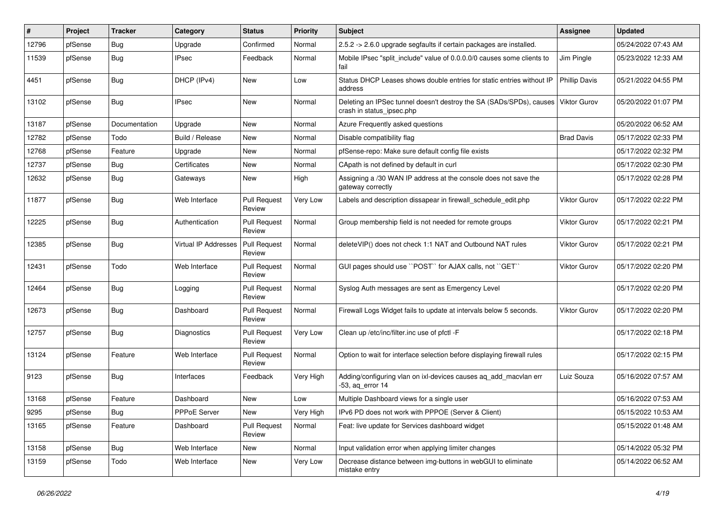| #     | Project | <b>Tracker</b> | Category             | <b>Status</b>                 | <b>Priority</b> | Subject                                                                                          | <b>Assignee</b>      | <b>Updated</b>      |
|-------|---------|----------------|----------------------|-------------------------------|-----------------|--------------------------------------------------------------------------------------------------|----------------------|---------------------|
| 12796 | pfSense | <b>Bug</b>     | Upgrade              | Confirmed                     | Normal          | 2.5.2 -> 2.6.0 upgrade segfaults if certain packages are installed.                              |                      | 05/24/2022 07:43 AM |
| 11539 | pfSense | Bug            | <b>IPsec</b>         | Feedback                      | Normal          | Mobile IPsec "split include" value of 0.0.0.0/0 causes some clients to<br>fail                   | Jim Pingle           | 05/23/2022 12:33 AM |
| 4451  | pfSense | <b>Bug</b>     | DHCP (IPv4)          | New                           | Low             | Status DHCP Leases shows double entries for static entries without IP<br>address                 | <b>Phillip Davis</b> | 05/21/2022 04:55 PM |
| 13102 | pfSense | Bug            | <b>IPsec</b>         | New                           | Normal          | Deleting an IPSec tunnel doesn't destroy the SA (SADs/SPDs), causes<br>crash in status_ipsec.php | <b>Viktor Gurov</b>  | 05/20/2022 01:07 PM |
| 13187 | pfSense | Documentation  | Upgrade              | <b>New</b>                    | Normal          | Azure Frequently asked questions                                                                 |                      | 05/20/2022 06:52 AM |
| 12782 | pfSense | Todo           | Build / Release      | New                           | Normal          | Disable compatibility flag                                                                       | <b>Brad Davis</b>    | 05/17/2022 02:33 PM |
| 12768 | pfSense | Feature        | Upgrade              | <b>New</b>                    | Normal          | pfSense-repo: Make sure default config file exists                                               |                      | 05/17/2022 02:32 PM |
| 12737 | pfSense | <b>Bug</b>     | Certificates         | New                           | Normal          | CApath is not defined by default in curl                                                         |                      | 05/17/2022 02:30 PM |
| 12632 | pfSense | <b>Bug</b>     | Gateways             | New                           | High            | Assigning a /30 WAN IP address at the console does not save the<br>gateway correctly             |                      | 05/17/2022 02:28 PM |
| 11877 | pfSense | Bug            | Web Interface        | <b>Pull Request</b><br>Review | Very Low        | Labels and description dissapear in firewall schedule edit.php                                   | <b>Viktor Gurov</b>  | 05/17/2022 02:22 PM |
| 12225 | pfSense | <b>Bug</b>     | Authentication       | <b>Pull Request</b><br>Review | Normal          | Group membership field is not needed for remote groups                                           | Viktor Gurov         | 05/17/2022 02:21 PM |
| 12385 | pfSense | Bug            | Virtual IP Addresses | <b>Pull Request</b><br>Review | Normal          | deleteVIP() does not check 1:1 NAT and Outbound NAT rules                                        | Viktor Gurov         | 05/17/2022 02:21 PM |
| 12431 | pfSense | Todo           | Web Interface        | <b>Pull Request</b><br>Review | Normal          | GUI pages should use "POST" for AJAX calls, not "GET"                                            | <b>Viktor Gurov</b>  | 05/17/2022 02:20 PM |
| 12464 | pfSense | Bug            | Logging              | <b>Pull Request</b><br>Review | Normal          | Syslog Auth messages are sent as Emergency Level                                                 |                      | 05/17/2022 02:20 PM |
| 12673 | pfSense | <b>Bug</b>     | Dashboard            | <b>Pull Request</b><br>Review | Normal          | Firewall Logs Widget fails to update at intervals below 5 seconds.                               | <b>Viktor Gurov</b>  | 05/17/2022 02:20 PM |
| 12757 | pfSense | <b>Bug</b>     | Diagnostics          | <b>Pull Request</b><br>Review | Very Low        | Clean up /etc/inc/filter.inc use of pfctl -F                                                     |                      | 05/17/2022 02:18 PM |
| 13124 | pfSense | Feature        | Web Interface        | <b>Pull Request</b><br>Review | Normal          | Option to wait for interface selection before displaying firewall rules                          |                      | 05/17/2022 02:15 PM |
| 9123  | pfSense | <b>Bug</b>     | Interfaces           | Feedback                      | Very High       | Adding/configuring vlan on ixl-devices causes ag add macylan err<br>$-53$ , aq error 14          | Luiz Souza           | 05/16/2022 07:57 AM |
| 13168 | pfSense | Feature        | Dashboard            | <b>New</b>                    | Low             | Multiple Dashboard views for a single user                                                       |                      | 05/16/2022 07:53 AM |
| 9295  | pfSense | <b>Bug</b>     | PPPoE Server         | New                           | Very High       | IPv6 PD does not work with PPPOE (Server & Client)                                               |                      | 05/15/2022 10:53 AM |
| 13165 | pfSense | Feature        | Dashboard            | <b>Pull Request</b><br>Review | Normal          | Feat: live update for Services dashboard widget                                                  |                      | 05/15/2022 01:48 AM |
| 13158 | pfSense | <b>Bug</b>     | Web Interface        | New                           | Normal          | Input validation error when applying limiter changes                                             |                      | 05/14/2022 05:32 PM |
| 13159 | pfSense | Todo           | Web Interface        | New                           | Very Low        | Decrease distance between img-buttons in webGUI to eliminate<br>mistake entry                    |                      | 05/14/2022 06:52 AM |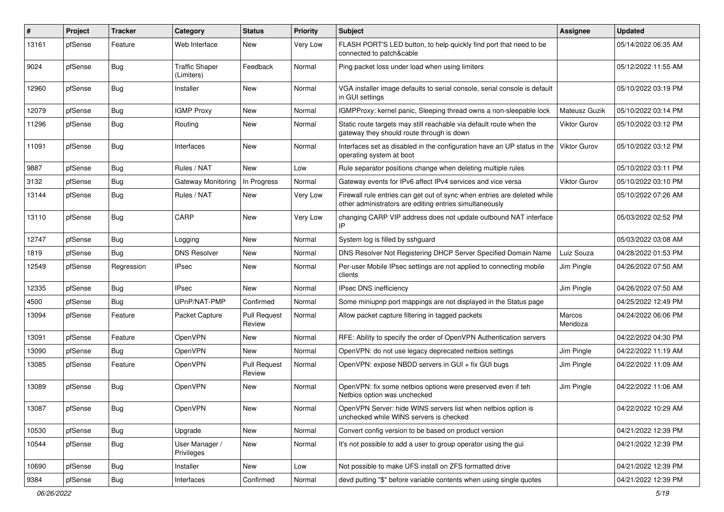| #     | Project | <b>Tracker</b> | Category                            | <b>Status</b>                 | <b>Priority</b> | Subject                                                                                                                             | <b>Assignee</b>     | <b>Updated</b>      |
|-------|---------|----------------|-------------------------------------|-------------------------------|-----------------|-------------------------------------------------------------------------------------------------------------------------------------|---------------------|---------------------|
| 13161 | pfSense | Feature        | Web Interface                       | New                           | Very Low        | FLASH PORT'S LED button, to help quickly find port that need to be<br>connected to patch&cable                                      |                     | 05/14/2022 06:35 AM |
| 9024  | pfSense | <b>Bug</b>     | <b>Traffic Shaper</b><br>(Limiters) | Feedback                      | Normal          | Ping packet loss under load when using limiters                                                                                     |                     | 05/12/2022 11:55 AM |
| 12960 | pfSense | <b>Bug</b>     | Installer                           | <b>New</b>                    | Normal          | VGA installer image defaults to serial console, serial console is default<br>in GUI settings                                        |                     | 05/10/2022 03:19 PM |
| 12079 | pfSense | Bug            | <b>IGMP Proxy</b>                   | New                           | Normal          | IGMPProxy: kernel panic, Sleeping thread owns a non-sleepable lock                                                                  | Mateusz Guzik       | 05/10/2022 03:14 PM |
| 11296 | pfSense | Bug            | Routing                             | <b>New</b>                    | Normal          | Static route targets may still reachable via default route when the<br>gateway they should route through is down                    | Viktor Gurov        | 05/10/2022 03:12 PM |
| 11091 | pfSense | <b>Bug</b>     | Interfaces                          | New                           | Normal          | Interfaces set as disabled in the configuration have an UP status in the<br>operating system at boot                                | Viktor Gurov        | 05/10/2022 03:12 PM |
| 9887  | pfSense | Bug            | Rules / NAT                         | <b>New</b>                    | Low             | Rule separator positions change when deleting multiple rules                                                                        |                     | 05/10/2022 03:11 PM |
| 3132  | pfSense | <b>Bug</b>     | Gateway Monitoring                  | In Progress                   | Normal          | Gateway events for IPv6 affect IPv4 services and vice versa                                                                         | <b>Viktor Gurov</b> | 05/10/2022 03:10 PM |
| 13144 | pfSense | Bug            | Rules / NAT                         | <b>New</b>                    | Very Low        | Firewall rule entries can get out of sync when entries are deleted while<br>other administrators are editing entries simultaneously |                     | 05/10/2022 07:26 AM |
| 13110 | pfSense | Bug            | CARP                                | New                           | Very Low        | changing CARP VIP address does not update outbound NAT interface<br>IP                                                              |                     | 05/03/2022 02:52 PM |
| 12747 | pfSense | Bug            | Logging                             | New                           | Normal          | System log is filled by sshguard                                                                                                    |                     | 05/03/2022 03:08 AM |
| 1819  | pfSense | Bug            | <b>DNS Resolver</b>                 | <b>New</b>                    | Normal          | DNS Resolver Not Registering DHCP Server Specified Domain Name                                                                      | Luiz Souza          | 04/28/2022 01:53 PM |
| 12549 | pfSense | Regression     | <b>IPsec</b>                        | New                           | Normal          | Per-user Mobile IPsec settings are not applied to connecting mobile<br>clients                                                      | Jim Pingle          | 04/26/2022 07:50 AM |
| 12335 | pfSense | Bug            | <b>IPsec</b>                        | New                           | Normal          | IPsec DNS inefficiency                                                                                                              | Jim Pingle          | 04/26/2022 07:50 AM |
| 4500  | pfSense | Bug            | UPnP/NAT-PMP                        | Confirmed                     | Normal          | Some miniupnp port mappings are not displayed in the Status page                                                                    |                     | 04/25/2022 12:49 PM |
| 13094 | pfSense | Feature        | Packet Capture                      | <b>Pull Request</b><br>Review | Normal          | Allow packet capture filtering in tagged packets                                                                                    | Marcos<br>Mendoza   | 04/24/2022 06:06 PM |
| 13091 | pfSense | Feature        | OpenVPN                             | New                           | Normal          | RFE: Ability to specify the order of OpenVPN Authentication servers                                                                 |                     | 04/22/2022 04:30 PM |
| 13090 | pfSense | Bug            | OpenVPN                             | <b>New</b>                    | Normal          | OpenVPN: do not use legacy deprecated netbios settings                                                                              | Jim Pingle          | 04/22/2022 11:19 AM |
| 13085 | pfSense | Feature        | OpenVPN                             | <b>Pull Request</b><br>Review | Normal          | OpenVPN: expose NBDD servers in GUI + fix GUI bugs                                                                                  | Jim Pingle          | 04/22/2022 11:09 AM |
| 13089 | pfSense | Bug            | OpenVPN                             | New                           | Normal          | OpenVPN: fix some netbios options were preserved even if teh<br>Netbios option was unchecked                                        | Jim Pingle          | 04/22/2022 11:06 AM |
| 13087 | pfSense | <b>Bug</b>     | OpenVPN                             | New                           | Normal          | OpenVPN Server: hide WINS servers list when netbios option is<br>unchecked while WINS servers is checked                            |                     | 04/22/2022 10:29 AM |
| 10530 | pfSense | Bug            | Upgrade                             | New                           | Normal          | Convert config version to be based on product version                                                                               |                     | 04/21/2022 12:39 PM |
| 10544 | pfSense | <b>Bug</b>     | User Manager /<br>Privileges        | New                           | Normal          | It's not possible to add a user to group operator using the gui                                                                     |                     | 04/21/2022 12:39 PM |
| 10690 | pfSense | <b>Bug</b>     | Installer                           | New                           | Low             | Not possible to make UFS install on ZFS formatted drive                                                                             |                     | 04/21/2022 12:39 PM |
| 9384  | pfSense | <b>Bug</b>     | Interfaces                          | Confirmed                     | Normal          | devd putting "\$" before variable contents when using single quotes                                                                 |                     | 04/21/2022 12:39 PM |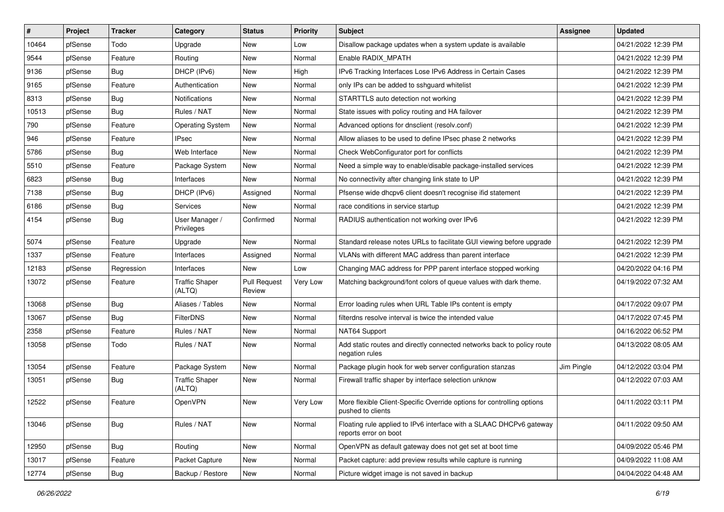| #     | Project | <b>Tracker</b> | Category                        | <b>Status</b>                 | <b>Priority</b> | <b>Subject</b>                                                                               | <b>Assignee</b> | <b>Updated</b>      |
|-------|---------|----------------|---------------------------------|-------------------------------|-----------------|----------------------------------------------------------------------------------------------|-----------------|---------------------|
| 10464 | pfSense | Todo           | Upgrade                         | New                           | Low             | Disallow package updates when a system update is available                                   |                 | 04/21/2022 12:39 PM |
| 9544  | pfSense | Feature        | Routing                         | New                           | Normal          | Enable RADIX MPATH                                                                           |                 | 04/21/2022 12:39 PM |
| 9136  | pfSense | <b>Bug</b>     | DHCP (IPv6)                     | New                           | High            | IPv6 Tracking Interfaces Lose IPv6 Address in Certain Cases                                  |                 | 04/21/2022 12:39 PM |
| 9165  | pfSense | Feature        | Authentication                  | New                           | Normal          | only IPs can be added to sshguard whitelist                                                  |                 | 04/21/2022 12:39 PM |
| 8313  | pfSense | Bug            | Notifications                   | <b>New</b>                    | Normal          | STARTTLS auto detection not working                                                          |                 | 04/21/2022 12:39 PM |
| 10513 | pfSense | Bug            | Rules / NAT                     | New                           | Normal          | State issues with policy routing and HA failover                                             |                 | 04/21/2022 12:39 PM |
| 790   | pfSense | Feature        | <b>Operating System</b>         | New                           | Normal          | Advanced options for dnsclient (resolv.conf)                                                 |                 | 04/21/2022 12:39 PM |
| 946   | pfSense | Feature        | <b>IPsec</b>                    | <b>New</b>                    | Normal          | Allow aliases to be used to define IPsec phase 2 networks                                    |                 | 04/21/2022 12:39 PM |
| 5786  | pfSense | <b>Bug</b>     | Web Interface                   | New                           | Normal          | Check WebConfigurator port for conflicts                                                     |                 | 04/21/2022 12:39 PM |
| 5510  | pfSense | Feature        | Package System                  | New                           | Normal          | Need a simple way to enable/disable package-installed services                               |                 | 04/21/2022 12:39 PM |
| 6823  | pfSense | <b>Bug</b>     | Interfaces                      | New                           | Normal          | No connectivity after changing link state to UP                                              |                 | 04/21/2022 12:39 PM |
| 7138  | pfSense | <b>Bug</b>     | DHCP (IPv6)                     | Assigned                      | Normal          | Pfsense wide dhcpv6 client doesn't recognise ifid statement                                  |                 | 04/21/2022 12:39 PM |
| 6186  | pfSense | <b>Bug</b>     | Services                        | New                           | Normal          | race conditions in service startup                                                           |                 | 04/21/2022 12:39 PM |
| 4154  | pfSense | <b>Bug</b>     | User Manager /<br>Privileges    | Confirmed                     | Normal          | RADIUS authentication not working over IPv6                                                  |                 | 04/21/2022 12:39 PM |
| 5074  | pfSense | Feature        | Upgrade                         | New                           | Normal          | Standard release notes URLs to facilitate GUI viewing before upgrade                         |                 | 04/21/2022 12:39 PM |
| 1337  | pfSense | Feature        | Interfaces                      | Assigned                      | Normal          | VLANs with different MAC address than parent interface                                       |                 | 04/21/2022 12:39 PM |
| 12183 | pfSense | Regression     | Interfaces                      | New                           | Low             | Changing MAC address for PPP parent interface stopped working                                |                 | 04/20/2022 04:16 PM |
| 13072 | pfSense | Feature        | <b>Traffic Shaper</b><br>(ALTQ) | <b>Pull Request</b><br>Review | Very Low        | Matching background/font colors of queue values with dark theme.                             |                 | 04/19/2022 07:32 AM |
| 13068 | pfSense | <b>Bug</b>     | Aliases / Tables                | <b>New</b>                    | Normal          | Error loading rules when URL Table IPs content is empty                                      |                 | 04/17/2022 09:07 PM |
| 13067 | pfSense | <b>Bug</b>     | <b>FilterDNS</b>                | New                           | Normal          | filterdns resolve interval is twice the intended value                                       |                 | 04/17/2022 07:45 PM |
| 2358  | pfSense | Feature        | Rules / NAT                     | New                           | Normal          | NAT64 Support                                                                                |                 | 04/16/2022 06:52 PM |
| 13058 | pfSense | Todo           | Rules / NAT                     | <b>New</b>                    | Normal          | Add static routes and directly connected networks back to policy route<br>negation rules     |                 | 04/13/2022 08:05 AM |
| 13054 | pfSense | Feature        | Package System                  | New                           | Normal          | Package plugin hook for web server configuration stanzas                                     | Jim Pingle      | 04/12/2022 03:04 PM |
| 13051 | pfSense | <b>Bug</b>     | <b>Traffic Shaper</b><br>(ALTQ) | New                           | Normal          | Firewall traffic shaper by interface selection unknow                                        |                 | 04/12/2022 07:03 AM |
| 12522 | pfSense | Feature        | OpenVPN                         | <b>New</b>                    | Very Low        | More flexible Client-Specific Override options for controlling options<br>pushed to clients  |                 | 04/11/2022 03:11 PM |
| 13046 | pfSense | Bug            | Rules / NAT                     | New                           | Normal          | Floating rule applied to IPv6 interface with a SLAAC DHCPv6 gateway<br>reports error on boot |                 | 04/11/2022 09:50 AM |
| 12950 | pfSense | Bug            | Routing                         | New                           | Normal          | OpenVPN as default gateway does not get set at boot time                                     |                 | 04/09/2022 05:46 PM |
| 13017 | pfSense | Feature        | Packet Capture                  | New                           | Normal          | Packet capture: add preview results while capture is running                                 |                 | 04/09/2022 11:08 AM |
| 12774 | pfSense | Bug            | Backup / Restore                | New                           | Normal          | Picture widget image is not saved in backup                                                  |                 | 04/04/2022 04:48 AM |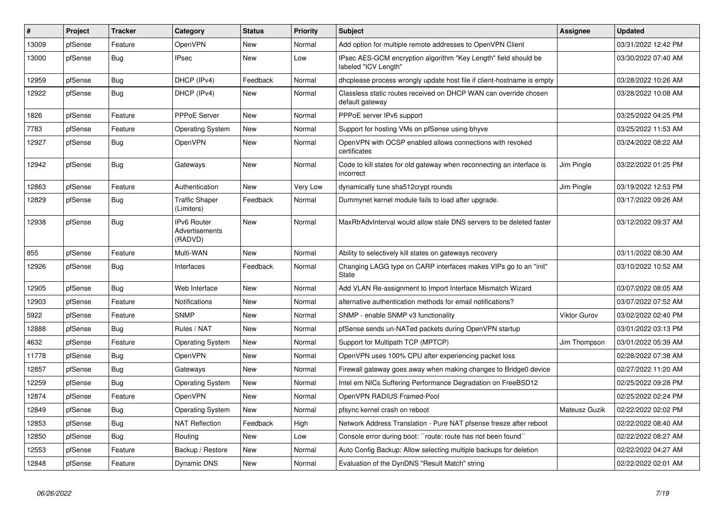| $\#$  | Project | <b>Tracker</b> | Category                                        | <b>Status</b> | <b>Priority</b> | <b>Subject</b>                                                                          | Assignee      | <b>Updated</b>      |
|-------|---------|----------------|-------------------------------------------------|---------------|-----------------|-----------------------------------------------------------------------------------------|---------------|---------------------|
| 13009 | pfSense | Feature        | OpenVPN                                         | New           | Normal          | Add option for multiple remote addresses to OpenVPN Client                              |               | 03/31/2022 12:42 PM |
| 13000 | pfSense | <b>Bug</b>     | <b>IPsec</b>                                    | <b>New</b>    | Low             | IPsec AES-GCM encryption algorithm "Key Length" field should be<br>labeled "ICV Length" |               | 03/30/2022 07:40 AM |
| 12959 | pfSense | Bug            | DHCP (IPv4)                                     | Feedback      | Normal          | dhcplease process wrongly update host file if client-hostname is empty                  |               | 03/28/2022 10:26 AM |
| 12922 | pfSense | Bug            | DHCP (IPv4)                                     | New           | Normal          | Classless static routes received on DHCP WAN can override chosen<br>default gateway     |               | 03/28/2022 10:08 AM |
| 1826  | pfSense | Feature        | <b>PPPoE Server</b>                             | <b>New</b>    | Normal          | PPPoE server IPv6 support                                                               |               | 03/25/2022 04:25 PM |
| 7783  | pfSense | Feature        | <b>Operating System</b>                         | New           | Normal          | Support for hosting VMs on pfSense using bhyve                                          |               | 03/25/2022 11:53 AM |
| 12927 | pfSense | <b>Bug</b>     | OpenVPN                                         | New           | Normal          | OpenVPN with OCSP enabled allows connections with revoked<br>certificates               |               | 03/24/2022 08:22 AM |
| 12942 | pfSense | Bug            | Gateways                                        | <b>New</b>    | Normal          | Code to kill states for old gateway when reconnecting an interface is<br>incorrect      | Jim Pingle    | 03/22/2022 01:25 PM |
| 12863 | pfSense | Feature        | Authentication                                  | <b>New</b>    | Very Low        | dynamically tune sha512crypt rounds                                                     | Jim Pingle    | 03/19/2022 12:53 PM |
| 12829 | pfSense | Bug            | <b>Traffic Shaper</b><br>(Limiters)             | Feedback      | Normal          | Dummynet kernel module fails to load after upgrade.                                     |               | 03/17/2022 09:26 AM |
| 12938 | pfSense | Bug            | <b>IPv6 Router</b><br>Advertisements<br>(RADVD) | <b>New</b>    | Normal          | MaxRtrAdvInterval would allow stale DNS servers to be deleted faster                    |               | 03/12/2022 09:37 AM |
| 855   | pfSense | Feature        | Multi-WAN                                       | New           | Normal          | Ability to selectively kill states on gateways recovery                                 |               | 03/11/2022 08:30 AM |
| 12926 | pfSense | Bug            | Interfaces                                      | Feedback      | Normal          | Changing LAGG type on CARP interfaces makes VIPs go to an "init"<br><b>State</b>        |               | 03/10/2022 10:52 AM |
| 12905 | pfSense | <b>Bug</b>     | Web Interface                                   | New           | Normal          | Add VLAN Re-assignment to Import Interface Mismatch Wizard                              |               | 03/07/2022 08:05 AM |
| 12903 | pfSense | Feature        | Notifications                                   | <b>New</b>    | Normal          | alternative authentication methods for email notifications?                             |               | 03/07/2022 07:52 AM |
| 5922  | pfSense | Feature        | <b>SNMP</b>                                     | New           | Normal          | SNMP - enable SNMP v3 functionality                                                     | Viktor Gurov  | 03/02/2022 02:40 PM |
| 12888 | pfSense | <b>Bug</b>     | Rules / NAT                                     | New           | Normal          | pfSense sends un-NATed packets during OpenVPN startup                                   |               | 03/01/2022 03:13 PM |
| 4632  | pfSense | Feature        | <b>Operating System</b>                         | New           | Normal          | Support for Multipath TCP (MPTCP)                                                       | Jim Thompson  | 03/01/2022 05:39 AM |
| 11778 | pfSense | Bug            | OpenVPN                                         | New           | Normal          | OpenVPN uses 100% CPU after experiencing packet loss                                    |               | 02/28/2022 07:38 AM |
| 12857 | pfSense | <b>Bug</b>     | Gateways                                        | New           | Normal          | Firewall gateway goes away when making changes to Bridge0 device                        |               | 02/27/2022 11:20 AM |
| 12259 | pfSense | Bug            | <b>Operating System</b>                         | New           | Normal          | Intel em NICs Suffering Performance Degradation on FreeBSD12                            |               | 02/25/2022 09:28 PM |
| 12874 | pfSense | Feature        | OpenVPN                                         | New           | Normal          | OpenVPN RADIUS Framed-Pool                                                              |               | 02/25/2022 02:24 PM |
| 12849 | pfSense | <b>Bug</b>     | <b>Operating System</b>                         | New           | Normal          | pfsync kernel crash on reboot                                                           | Mateusz Guzik | 02/22/2022 02:02 PM |
| 12853 | pfSense | <b>Bug</b>     | <b>NAT Reflection</b>                           | Feedback      | High            | Network Address Translation - Pure NAT pfsense freeze after reboot                      |               | 02/22/2022 08:40 AM |
| 12850 | pfSense | <b>Bug</b>     | Routing                                         | New           | Low             | Console error during boot: ``route: route has not been found``                          |               | 02/22/2022 08:27 AM |
| 12553 | pfSense | Feature        | Backup / Restore                                | <b>New</b>    | Normal          | Auto Config Backup: Allow selecting multiple backups for deletion                       |               | 02/22/2022 04:27 AM |
| 12848 | pfSense | Feature        | Dynamic DNS                                     | New           | Normal          | Evaluation of the DynDNS "Result Match" string                                          |               | 02/22/2022 02:01 AM |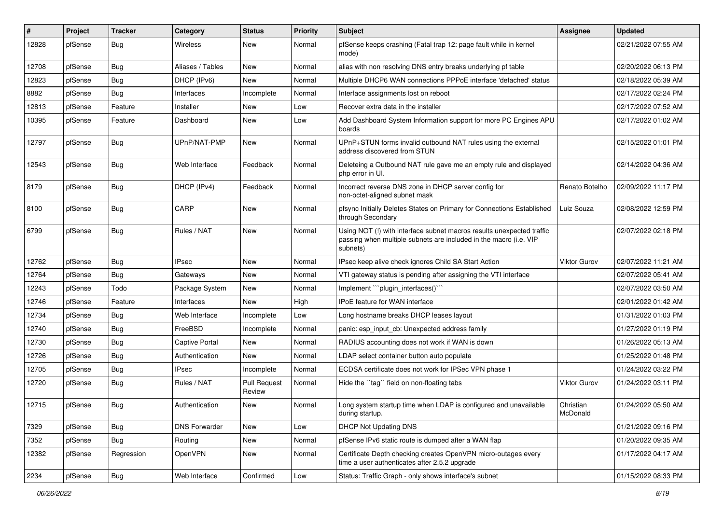| #     | Project | <b>Tracker</b> | Category              | <b>Status</b>                 | <b>Priority</b> | Subject                                                                                                                                                | <b>Assignee</b>       | <b>Updated</b>      |
|-------|---------|----------------|-----------------------|-------------------------------|-----------------|--------------------------------------------------------------------------------------------------------------------------------------------------------|-----------------------|---------------------|
| 12828 | pfSense | <b>Bug</b>     | Wireless              | New                           | Normal          | pfSense keeps crashing (Fatal trap 12: page fault while in kernel<br>mode)                                                                             |                       | 02/21/2022 07:55 AM |
| 12708 | pfSense | Bug            | Aliases / Tables      | New                           | Normal          | alias with non resolving DNS entry breaks underlying pf table                                                                                          |                       | 02/20/2022 06:13 PM |
| 12823 | pfSense | <b>Bug</b>     | DHCP (IPv6)           | <b>New</b>                    | Normal          | Multiple DHCP6 WAN connections PPPoE interface 'defached' status                                                                                       |                       | 02/18/2022 05:39 AM |
| 8882  | pfSense | Bug            | Interfaces            | Incomplete                    | Normal          | Interface assignments lost on reboot                                                                                                                   |                       | 02/17/2022 02:24 PM |
| 12813 | pfSense | Feature        | Installer             | <b>New</b>                    | Low             | Recover extra data in the installer                                                                                                                    |                       | 02/17/2022 07:52 AM |
| 10395 | pfSense | Feature        | Dashboard             | New                           | Low             | Add Dashboard System Information support for more PC Engines APU<br>boards                                                                             |                       | 02/17/2022 01:02 AM |
| 12797 | pfSense | <b>Bug</b>     | UPnP/NAT-PMP          | New                           | Normal          | UPnP+STUN forms invalid outbound NAT rules using the external<br>address discovered from STUN                                                          |                       | 02/15/2022 01:01 PM |
| 12543 | pfSense | <b>Bug</b>     | Web Interface         | Feedback                      | Normal          | Deleteing a Outbound NAT rule gave me an empty rule and displayed<br>php error in UI.                                                                  |                       | 02/14/2022 04:36 AM |
| 8179  | pfSense | <b>Bug</b>     | DHCP (IPv4)           | Feedback                      | Normal          | Incorrect reverse DNS zone in DHCP server config for<br>non-octet-aligned subnet mask                                                                  | Renato Botelho        | 02/09/2022 11:17 PM |
| 8100  | pfSense | Bug            | CARP                  | New                           | Normal          | pfsync Initially Deletes States on Primary for Connections Established<br>through Secondary                                                            | Luiz Souza            | 02/08/2022 12:59 PM |
| 6799  | pfSense | Bug            | Rules / NAT           | <b>New</b>                    | Normal          | Using NOT (!) with interface subnet macros results unexpected traffic<br>passing when multiple subnets are included in the macro (i.e. VIP<br>subnets) |                       | 02/07/2022 02:18 PM |
| 12762 | pfSense | <b>Bug</b>     | <b>IPsec</b>          | New                           | Normal          | IPsec keep alive check ignores Child SA Start Action                                                                                                   | Viktor Gurov          | 02/07/2022 11:21 AM |
| 12764 | pfSense | <b>Bug</b>     | Gateways              | New                           | Normal          | VTI gateway status is pending after assigning the VTI interface                                                                                        |                       | 02/07/2022 05:41 AM |
| 12243 | pfSense | Todo           | Package System        | New                           | Normal          | Implement "plugin_interfaces()"                                                                                                                        |                       | 02/07/2022 03:50 AM |
| 12746 | pfSense | Feature        | Interfaces            | <b>New</b>                    | High            | IPoE feature for WAN interface                                                                                                                         |                       | 02/01/2022 01:42 AM |
| 12734 | pfSense | <b>Bug</b>     | Web Interface         | Incomplete                    | Low             | Long hostname breaks DHCP leases layout                                                                                                                |                       | 01/31/2022 01:03 PM |
| 12740 | pfSense | <b>Bug</b>     | FreeBSD               | Incomplete                    | Normal          | panic: esp input cb: Unexpected address family                                                                                                         |                       | 01/27/2022 01:19 PM |
| 12730 | pfSense | <b>Bug</b>     | <b>Captive Portal</b> | New                           | Normal          | RADIUS accounting does not work if WAN is down                                                                                                         |                       | 01/26/2022 05:13 AM |
| 12726 | pfSense | <b>Bug</b>     | Authentication        | <b>New</b>                    | Normal          | LDAP select container button auto populate                                                                                                             |                       | 01/25/2022 01:48 PM |
| 12705 | pfSense | <b>Bug</b>     | <b>IPsec</b>          | Incomplete                    | Normal          | ECDSA certificate does not work for IPSec VPN phase 1                                                                                                  |                       | 01/24/2022 03:22 PM |
| 12720 | pfSense | <b>Bug</b>     | Rules / NAT           | <b>Pull Request</b><br>Review | Normal          | Hide the "tag" field on non-floating tabs                                                                                                              | Viktor Gurov          | 01/24/2022 03:11 PM |
| 12715 | pfSense | Bug            | Authentication        | New                           | Normal          | Long system startup time when LDAP is configured and unavailable<br>during startup.                                                                    | Christian<br>McDonald | 01/24/2022 05:50 AM |
| 7329  | pfSense | Bug            | <b>DNS Forwarder</b>  | New                           | Low             | DHCP Not Updating DNS                                                                                                                                  |                       | 01/21/2022 09:16 PM |
| 7352  | pfSense | <b>Bug</b>     | Routing               | New                           | Normal          | pfSense IPv6 static route is dumped after a WAN flap                                                                                                   |                       | 01/20/2022 09:35 AM |
| 12382 | pfSense | Regression     | OpenVPN               | New                           | Normal          | Certificate Depth checking creates OpenVPN micro-outages every<br>time a user authenticates after 2.5.2 upgrade                                        |                       | 01/17/2022 04:17 AM |
| 2234  | pfSense | Bug            | Web Interface         | Confirmed                     | Low             | Status: Traffic Graph - only shows interface's subnet                                                                                                  |                       | 01/15/2022 08:33 PM |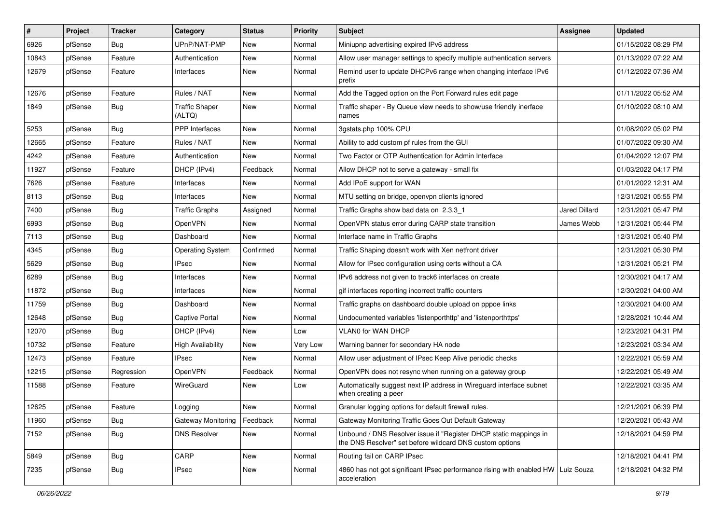| $\vert$ # | Project | <b>Tracker</b> | Category                        | <b>Status</b> | <b>Priority</b> | Subject                                                                                                                       | <b>Assignee</b> | <b>Updated</b>      |
|-----------|---------|----------------|---------------------------------|---------------|-----------------|-------------------------------------------------------------------------------------------------------------------------------|-----------------|---------------------|
| 6926      | pfSense | <b>Bug</b>     | UPnP/NAT-PMP                    | New           | Normal          | Miniupnp advertising expired IPv6 address                                                                                     |                 | 01/15/2022 08:29 PM |
| 10843     | pfSense | Feature        | Authentication                  | New           | Normal          | Allow user manager settings to specify multiple authentication servers                                                        |                 | 01/13/2022 07:22 AM |
| 12679     | pfSense | Feature        | Interfaces                      | New           | Normal          | Remind user to update DHCPv6 range when changing interface IPv6<br>prefix                                                     |                 | 01/12/2022 07:36 AM |
| 12676     | pfSense | Feature        | Rules / NAT                     | <b>New</b>    | Normal          | Add the Tagged option on the Port Forward rules edit page                                                                     |                 | 01/11/2022 05:52 AM |
| 1849      | pfSense | <b>Bug</b>     | <b>Traffic Shaper</b><br>(ALTQ) | New           | Normal          | Traffic shaper - By Queue view needs to show/use friendly inerface<br>names                                                   |                 | 01/10/2022 08:10 AM |
| 5253      | pfSense | Bug            | <b>PPP</b> Interfaces           | New           | Normal          | 3gstats.php 100% CPU                                                                                                          |                 | 01/08/2022 05:02 PM |
| 12665     | pfSense | Feature        | Rules / NAT                     | New           | Normal          | Ability to add custom pf rules from the GUI                                                                                   |                 | 01/07/2022 09:30 AM |
| 4242      | pfSense | Feature        | Authentication                  | New           | Normal          | Two Factor or OTP Authentication for Admin Interface                                                                          |                 | 01/04/2022 12:07 PM |
| 11927     | pfSense | Feature        | DHCP (IPv4)                     | Feedback      | Normal          | Allow DHCP not to serve a gateway - small fix                                                                                 |                 | 01/03/2022 04:17 PM |
| 7626      | pfSense | Feature        | Interfaces                      | New           | Normal          | Add IPoE support for WAN                                                                                                      |                 | 01/01/2022 12:31 AM |
| 8113      | pfSense | Bug            | Interfaces                      | New           | Normal          | MTU setting on bridge, openvpn clients ignored                                                                                |                 | 12/31/2021 05:55 PM |
| 7400      | pfSense | Bug            | <b>Traffic Graphs</b>           | Assigned      | Normal          | Traffic Graphs show bad data on 2.3.3 1                                                                                       | Jared Dillard   | 12/31/2021 05:47 PM |
| 6993      | pfSense | <b>Bug</b>     | OpenVPN                         | New           | Normal          | OpenVPN status error during CARP state transition                                                                             | James Webb      | 12/31/2021 05:44 PM |
| 7113      | pfSense | <b>Bug</b>     | Dashboard                       | <b>New</b>    | Normal          | Interface name in Traffic Graphs                                                                                              |                 | 12/31/2021 05:40 PM |
| 4345      | pfSense | <b>Bug</b>     | <b>Operating System</b>         | Confirmed     | Normal          | Traffic Shaping doesn't work with Xen netfront driver                                                                         |                 | 12/31/2021 05:30 PM |
| 5629      | pfSense | Bug            | <b>IPsec</b>                    | <b>New</b>    | Normal          | Allow for IPsec configuration using certs without a CA                                                                        |                 | 12/31/2021 05:21 PM |
| 6289      | pfSense | Bug            | Interfaces                      | New           | Normal          | IPv6 address not given to track6 interfaces on create                                                                         |                 | 12/30/2021 04:17 AM |
| 11872     | pfSense | Bug            | Interfaces                      | New           | Normal          | gif interfaces reporting incorrect traffic counters                                                                           |                 | 12/30/2021 04:00 AM |
| 11759     | pfSense | <b>Bug</b>     | Dashboard                       | <b>New</b>    | Normal          | Traffic graphs on dashboard double upload on pppoe links                                                                      |                 | 12/30/2021 04:00 AM |
| 12648     | pfSense | Bug            | <b>Captive Portal</b>           | New           | Normal          | Undocumented variables 'listenporthttp' and 'listenporthttps'                                                                 |                 | 12/28/2021 10:44 AM |
| 12070     | pfSense | Bug            | DHCP (IPv4)                     | <b>New</b>    | Low             | VLAN0 for WAN DHCP                                                                                                            |                 | 12/23/2021 04:31 PM |
| 10732     | pfSense | Feature        | <b>High Availability</b>        | New           | Very Low        | Warning banner for secondary HA node                                                                                          |                 | 12/23/2021 03:34 AM |
| 12473     | pfSense | Feature        | <b>IPsec</b>                    | New           | Normal          | Allow user adjustment of IPsec Keep Alive periodic checks                                                                     |                 | 12/22/2021 05:59 AM |
| 12215     | pfSense | Regression     | OpenVPN                         | Feedback      | Normal          | OpenVPN does not resync when running on a gateway group                                                                       |                 | 12/22/2021 05:49 AM |
| 11588     | pfSense | Feature        | WireGuard                       | New           | Low             | Automatically suggest next IP address in Wireguard interface subnet<br>when creating a peer                                   |                 | 12/22/2021 03:35 AM |
| 12625     | pfSense | Feature        | Logging                         | New           | Normal          | Granular logging options for default firewall rules.                                                                          |                 | 12/21/2021 06:39 PM |
| 11960     | pfSense | Bug            | Gateway Monitoring              | Feedback      | Normal          | Gateway Monitoring Traffic Goes Out Default Gateway                                                                           |                 | 12/20/2021 05:43 AM |
| 7152      | pfSense | <b>Bug</b>     | <b>DNS Resolver</b>             | New           | Normal          | Unbound / DNS Resolver issue if "Register DHCP static mappings in<br>the DNS Resolver" set before wildcard DNS custom options |                 | 12/18/2021 04:59 PM |
| 5849      | pfSense | <b>Bug</b>     | CARP                            | New           | Normal          | Routing fail on CARP IPsec                                                                                                    |                 | 12/18/2021 04:41 PM |
| 7235      | pfSense | Bug            | <b>IPsec</b>                    | New           | Normal          | 4860 has not got significant IPsec performance rising with enabled HW Luiz Souza<br>acceleration                              |                 | 12/18/2021 04:32 PM |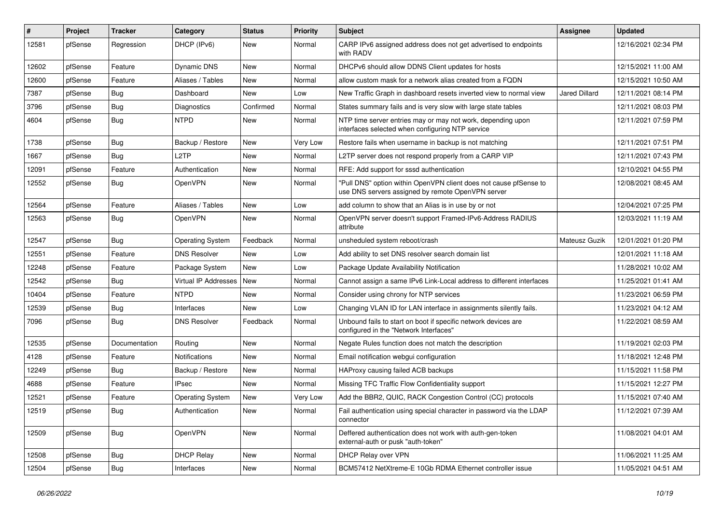| #     | Project | <b>Tracker</b> | Category                | <b>Status</b> | <b>Priority</b> | <b>Subject</b>                                                                                                         | <b>Assignee</b>      | <b>Updated</b>      |
|-------|---------|----------------|-------------------------|---------------|-----------------|------------------------------------------------------------------------------------------------------------------------|----------------------|---------------------|
| 12581 | pfSense | Regression     | DHCP (IPv6)             | New           | Normal          | CARP IPv6 assigned address does not get advertised to endpoints<br>with RADV                                           |                      | 12/16/2021 02:34 PM |
| 12602 | pfSense | Feature        | Dynamic DNS             | New           | Normal          | DHCPv6 should allow DDNS Client updates for hosts                                                                      |                      | 12/15/2021 11:00 AM |
| 12600 | pfSense | Feature        | Aliases / Tables        | New           | Normal          | allow custom mask for a network alias created from a FQDN                                                              |                      | 12/15/2021 10:50 AM |
| 7387  | pfSense | Bug            | Dashboard               | New           | Low             | New Traffic Graph in dashboard resets inverted view to normal view                                                     | <b>Jared Dillard</b> | 12/11/2021 08:14 PM |
| 3796  | pfSense | Bug            | Diagnostics             | Confirmed     | Normal          | States summary fails and is very slow with large state tables                                                          |                      | 12/11/2021 08:03 PM |
| 4604  | pfSense | <b>Bug</b>     | <b>NTPD</b>             | <b>New</b>    | Normal          | NTP time server entries may or may not work, depending upon<br>interfaces selected when configuring NTP service        |                      | 12/11/2021 07:59 PM |
| 1738  | pfSense | Bug            | Backup / Restore        | New           | Very Low        | Restore fails when username in backup is not matching                                                                  |                      | 12/11/2021 07:51 PM |
| 1667  | pfSense | <b>Bug</b>     | L2TP                    | <b>New</b>    | Normal          | L2TP server does not respond properly from a CARP VIP                                                                  |                      | 12/11/2021 07:43 PM |
| 12091 | pfSense | Feature        | Authentication          | New           | Normal          | RFE: Add support for sssd authentication                                                                               |                      | 12/10/2021 04:55 PM |
| 12552 | pfSense | <b>Bug</b>     | OpenVPN                 | New           | Normal          | "Pull DNS" option within OpenVPN client does not cause pfSense to<br>use DNS servers assigned by remote OpenVPN server |                      | 12/08/2021 08:45 AM |
| 12564 | pfSense | Feature        | Aliases / Tables        | <b>New</b>    | Low             | add column to show that an Alias is in use by or not                                                                   |                      | 12/04/2021 07:25 PM |
| 12563 | pfSense | Bug            | OpenVPN                 | New           | Normal          | OpenVPN server doesn't support Framed-IPv6-Address RADIUS<br>attribute                                                 |                      | 12/03/2021 11:19 AM |
| 12547 | pfSense | Bug            | <b>Operating System</b> | Feedback      | Normal          | unsheduled system reboot/crash                                                                                         | Mateusz Guzik        | 12/01/2021 01:20 PM |
| 12551 | pfSense | Feature        | <b>DNS Resolver</b>     | <b>New</b>    | Low             | Add ability to set DNS resolver search domain list                                                                     |                      | 12/01/2021 11:18 AM |
| 12248 | pfSense | Feature        | Package System          | New           | Low             | Package Update Availability Notification                                                                               |                      | 11/28/2021 10:02 AM |
| 12542 | pfSense | Bug            | Virtual IP Addresses    | New           | Normal          | Cannot assign a same IPv6 Link-Local address to different interfaces                                                   |                      | 11/25/2021 01:41 AM |
| 10404 | pfSense | Feature        | <b>NTPD</b>             | <b>New</b>    | Normal          | Consider using chrony for NTP services                                                                                 |                      | 11/23/2021 06:59 PM |
| 12539 | pfSense | <b>Bug</b>     | Interfaces              | New           | Low             | Changing VLAN ID for LAN interface in assignments silently fails.                                                      |                      | 11/23/2021 04:12 AM |
| 7096  | pfSense | <b>Bug</b>     | <b>DNS Resolver</b>     | Feedback      | Normal          | Unbound fails to start on boot if specific network devices are<br>configured in the "Network Interfaces"               |                      | 11/22/2021 08:59 AM |
| 12535 | pfSense | Documentation  | Routing                 | New           | Normal          | Negate Rules function does not match the description                                                                   |                      | 11/19/2021 02:03 PM |
| 4128  | pfSense | Feature        | <b>Notifications</b>    | New           | Normal          | Email notification webgui configuration                                                                                |                      | 11/18/2021 12:48 PM |
| 12249 | pfSense | <b>Bug</b>     | Backup / Restore        | New           | Normal          | HAProxy causing failed ACB backups                                                                                     |                      | 11/15/2021 11:58 PM |
| 4688  | pfSense | Feature        | <b>IPsec</b>            | New           | Normal          | Missing TFC Traffic Flow Confidentiality support                                                                       |                      | 11/15/2021 12:27 PM |
| 12521 | pfSense | Feature        | <b>Operating System</b> | New           | Very Low        | Add the BBR2, QUIC, RACK Congestion Control (CC) protocols                                                             |                      | 11/15/2021 07:40 AM |
| 12519 | ptSense | Bug            | Authentication          | New           | Normal          | Fail authentication using special character in password via the LDAP<br>connector                                      |                      | 11/12/2021 07:39 AM |
| 12509 | pfSense | <b>Bug</b>     | OpenVPN                 | New           | Normal          | Deffered authentication does not work with auth-gen-token<br>external-auth or pusk "auth-token"                        |                      | 11/08/2021 04:01 AM |
| 12508 | pfSense | Bug            | <b>DHCP Relay</b>       | New           | Normal          | DHCP Relay over VPN                                                                                                    |                      | 11/06/2021 11:25 AM |
| 12504 | pfSense | <b>Bug</b>     | Interfaces              | New           | Normal          | BCM57412 NetXtreme-E 10Gb RDMA Ethernet controller issue                                                               |                      | 11/05/2021 04:51 AM |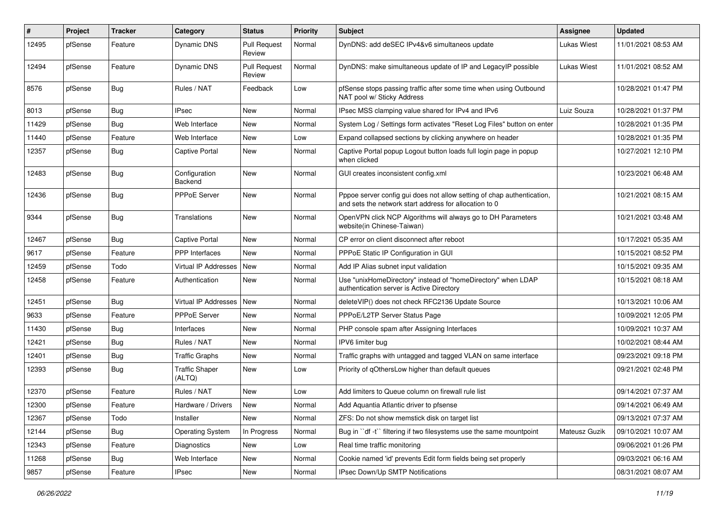| #     | Project | <b>Tracker</b> | Category                        | <b>Status</b>                 | <b>Priority</b> | <b>Subject</b>                                                                                                                   | <b>Assignee</b> | <b>Updated</b>      |
|-------|---------|----------------|---------------------------------|-------------------------------|-----------------|----------------------------------------------------------------------------------------------------------------------------------|-----------------|---------------------|
| 12495 | pfSense | Feature        | Dynamic DNS                     | <b>Pull Request</b><br>Review | Normal          | DynDNS: add deSEC IPv4&v6 simultaneos update                                                                                     | Lukas Wiest     | 11/01/2021 08:53 AM |
| 12494 | pfSense | Feature        | Dynamic DNS                     | <b>Pull Request</b><br>Review | Normal          | DynDNS: make simultaneous update of IP and LegacyIP possible                                                                     | Lukas Wiest     | 11/01/2021 08:52 AM |
| 8576  | pfSense | <b>Bug</b>     | Rules / NAT                     | Feedback                      | Low             | pfSense stops passing traffic after some time when using Outbound<br>NAT pool w/ Sticky Address                                  |                 | 10/28/2021 01:47 PM |
| 8013  | pfSense | <b>Bug</b>     | <b>IPsec</b>                    | <b>New</b>                    | Normal          | IPsec MSS clamping value shared for IPv4 and IPv6                                                                                | Luiz Souza      | 10/28/2021 01:37 PM |
| 11429 | pfSense | <b>Bug</b>     | Web Interface                   | <b>New</b>                    | Normal          | System Log / Settings form activates "Reset Log Files" button on enter                                                           |                 | 10/28/2021 01:35 PM |
| 11440 | pfSense | Feature        | Web Interface                   | New                           | Low             | Expand collapsed sections by clicking anywhere on header                                                                         |                 | 10/28/2021 01:35 PM |
| 12357 | pfSense | <b>Bug</b>     | Captive Portal                  | New                           | Normal          | Captive Portal popup Logout button loads full login page in popup<br>when clicked                                                |                 | 10/27/2021 12:10 PM |
| 12483 | pfSense | <b>Bug</b>     | Configuration<br>Backend        | New                           | Normal          | GUI creates inconsistent config.xml                                                                                              |                 | 10/23/2021 06:48 AM |
| 12436 | pfSense | Bug            | PPPoE Server                    | New                           | Normal          | Pppoe server config gui does not allow setting of chap authentication,<br>and sets the network start address for allocation to 0 |                 | 10/21/2021 08:15 AM |
| 9344  | pfSense | <b>Bug</b>     | Translations                    | New                           | Normal          | OpenVPN click NCP Algorithms will always go to DH Parameters<br>website(in Chinese-Taiwan)                                       |                 | 10/21/2021 03:48 AM |
| 12467 | pfSense | Bug            | <b>Captive Portal</b>           | New                           | Normal          | CP error on client disconnect after reboot                                                                                       |                 | 10/17/2021 05:35 AM |
| 9617  | pfSense | Feature        | PPP Interfaces                  | <b>New</b>                    | Normal          | PPPoE Static IP Configuration in GUI                                                                                             |                 | 10/15/2021 08:52 PM |
| 12459 | pfSense | Todo           | Virtual IP Addresses            | <b>New</b>                    | Normal          | Add IP Alias subnet input validation                                                                                             |                 | 10/15/2021 09:35 AM |
| 12458 | pfSense | Feature        | Authentication                  | New                           | Normal          | Use "unixHomeDirectory" instead of "homeDirectory" when LDAP<br>authentication server is Active Directory                        |                 | 10/15/2021 08:18 AM |
| 12451 | pfSense | Bug            | Virtual IP Addresses            | <b>New</b>                    | Normal          | deleteVIP() does not check RFC2136 Update Source                                                                                 |                 | 10/13/2021 10:06 AM |
| 9633  | pfSense | Feature        | <b>PPPoE Server</b>             | New                           | Normal          | PPPoE/L2TP Server Status Page                                                                                                    |                 | 10/09/2021 12:05 PM |
| 11430 | pfSense | <b>Bug</b>     | Interfaces                      | New                           | Normal          | PHP console spam after Assigning Interfaces                                                                                      |                 | 10/09/2021 10:37 AM |
| 12421 | pfSense | <b>Bug</b>     | Rules / NAT                     | New                           | Normal          | IPV6 limiter bug                                                                                                                 |                 | 10/02/2021 08:44 AM |
| 12401 | pfSense | <b>Bug</b>     | Traffic Graphs                  | New                           | Normal          | Traffic graphs with untagged and tagged VLAN on same interface                                                                   |                 | 09/23/2021 09:18 PM |
| 12393 | pfSense | <b>Bug</b>     | <b>Traffic Shaper</b><br>(ALTQ) | New                           | Low             | Priority of qOthersLow higher than default queues                                                                                |                 | 09/21/2021 02:48 PM |
| 12370 | pfSense | Feature        | Rules / NAT                     | New                           | Low             | Add limiters to Queue column on firewall rule list                                                                               |                 | 09/14/2021 07:37 AM |
| 12300 | pfSense | Feature        | Hardware / Drivers              | New                           | Normal          | Add Aquantia Atlantic driver to pfsense                                                                                          |                 | 09/14/2021 06:49 AM |
| 12367 | pfSense | Todo           | Installer                       | New                           | Normal          | ZFS: Do not show memstick disk on target list                                                                                    |                 | 09/13/2021 07:37 AM |
| 12144 | pfSense | <b>Bug</b>     | <b>Operating System</b>         | In Progress                   | Normal          | Bug in "df -t" filtering if two filesystems use the same mountpoint                                                              | Mateusz Guzik   | 09/10/2021 10:07 AM |
| 12343 | pfSense | Feature        | Diagnostics                     | New                           | Low             | Real time traffic monitoring                                                                                                     |                 | 09/06/2021 01:26 PM |
| 11268 | pfSense | <b>Bug</b>     | Web Interface                   | New                           | Normal          | Cookie named 'id' prevents Edit form fields being set properly                                                                   |                 | 09/03/2021 06:16 AM |
| 9857  | pfSense | Feature        | <b>IPsec</b>                    | New                           | Normal          | IPsec Down/Up SMTP Notifications                                                                                                 |                 | 08/31/2021 08:07 AM |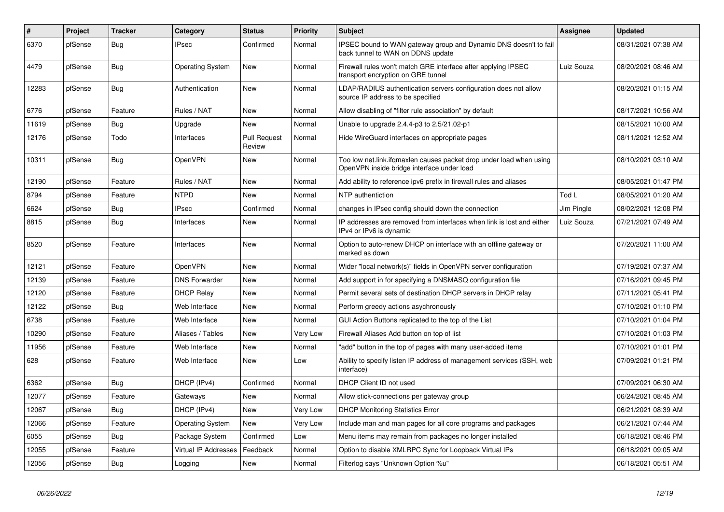| #     | Project | <b>Tracker</b> | Category                | <b>Status</b>                 | Priority | <b>Subject</b>                                                                                                    | <b>Assignee</b> | <b>Updated</b>      |
|-------|---------|----------------|-------------------------|-------------------------------|----------|-------------------------------------------------------------------------------------------------------------------|-----------------|---------------------|
| 6370  | pfSense | Bug            | <b>IPsec</b>            | Confirmed                     | Normal   | IPSEC bound to WAN gateway group and Dynamic DNS doesn't to fail<br>back tunnel to WAN on DDNS update             |                 | 08/31/2021 07:38 AM |
| 4479  | pfSense | Bug            | <b>Operating System</b> | New                           | Normal   | Firewall rules won't match GRE interface after applying IPSEC<br>transport encryption on GRE tunnel               | Luiz Souza      | 08/20/2021 08:46 AM |
| 12283 | pfSense | <b>Bug</b>     | Authentication          | New                           | Normal   | LDAP/RADIUS authentication servers configuration does not allow<br>source IP address to be specified              |                 | 08/20/2021 01:15 AM |
| 6776  | pfSense | Feature        | Rules / NAT             | <b>New</b>                    | Normal   | Allow disabling of "filter rule association" by default                                                           |                 | 08/17/2021 10:56 AM |
| 11619 | pfSense | <b>Bug</b>     | Upgrade                 | New                           | Normal   | Unable to upgrade 2.4.4-p3 to 2.5/21.02-p1                                                                        |                 | 08/15/2021 10:00 AM |
| 12176 | pfSense | Todo           | Interfaces              | <b>Pull Request</b><br>Review | Normal   | Hide WireGuard interfaces on appropriate pages                                                                    |                 | 08/11/2021 12:52 AM |
| 10311 | pfSense | <b>Bug</b>     | <b>OpenVPN</b>          | New                           | Normal   | Too low net.link.ifgmaxlen causes packet drop under load when using<br>OpenVPN inside bridge interface under load |                 | 08/10/2021 03:10 AM |
| 12190 | pfSense | Feature        | Rules / NAT             | <b>New</b>                    | Normal   | Add ability to reference ipv6 prefix in firewall rules and aliases                                                |                 | 08/05/2021 01:47 PM |
| 8794  | pfSense | Feature        | <b>NTPD</b>             | <b>New</b>                    | Normal   | NTP authentiction                                                                                                 | Tod L           | 08/05/2021 01:20 AM |
| 6624  | pfSense | <b>Bug</b>     | <b>IPsec</b>            | Confirmed                     | Normal   | changes in IPsec config should down the connection                                                                | Jim Pingle      | 08/02/2021 12:08 PM |
| 8815  | pfSense | <b>Bug</b>     | Interfaces              | <b>New</b>                    | Normal   | IP addresses are removed from interfaces when link is lost and either<br>IPv4 or IPv6 is dynamic                  | Luiz Souza      | 07/21/2021 07:49 AM |
| 8520  | pfSense | Feature        | Interfaces              | <b>New</b>                    | Normal   | Option to auto-renew DHCP on interface with an offline gateway or<br>marked as down                               |                 | 07/20/2021 11:00 AM |
| 12121 | pfSense | Feature        | OpenVPN                 | New                           | Normal   | Wider "local network(s)" fields in OpenVPN server configuration                                                   |                 | 07/19/2021 07:37 AM |
| 12139 | pfSense | Feature        | <b>DNS Forwarder</b>    | New                           | Normal   | Add support in for specifying a DNSMASQ configuration file                                                        |                 | 07/16/2021 09:45 PM |
| 12120 | pfSense | Feature        | <b>DHCP Relay</b>       | New                           | Normal   | Permit several sets of destination DHCP servers in DHCP relay                                                     |                 | 07/11/2021 05:41 PM |
| 12122 | pfSense | Bug            | Web Interface           | New                           | Normal   | Perform greedy actions asychronously                                                                              |                 | 07/10/2021 01:10 PM |
| 6738  | pfSense | Feature        | Web Interface           | <b>New</b>                    | Normal   | GUI Action Buttons replicated to the top of the List                                                              |                 | 07/10/2021 01:04 PM |
| 10290 | pfSense | Feature        | Aliases / Tables        | New                           | Very Low | Firewall Aliases Add button on top of list                                                                        |                 | 07/10/2021 01:03 PM |
| 11956 | pfSense | Feature        | Web Interface           | New                           | Normal   | "add" button in the top of pages with many user-added items                                                       |                 | 07/10/2021 01:01 PM |
| 628   | pfSense | Feature        | Web Interface           | <b>New</b>                    | Low      | Ability to specify listen IP address of management services (SSH, web<br>interface)                               |                 | 07/09/2021 01:21 PM |
| 6362  | pfSense | Bug            | DHCP (IPv4)             | Confirmed                     | Normal   | DHCP Client ID not used                                                                                           |                 | 07/09/2021 06:30 AM |
| 12077 | pfSense | Feature        | Gateways                | New                           | Normal   | Allow stick-connections per gateway group                                                                         |                 | 06/24/2021 08:45 AM |
| 12067 | pfSense | Bug            | DHCP (IPv4)             | New                           | Very Low | <b>DHCP Monitoring Statistics Error</b>                                                                           |                 | 06/21/2021 08:39 AM |
| 12066 | pfSense | Feature        | Operating System        | New                           | Very Low | Include man and man pages for all core programs and packages                                                      |                 | 06/21/2021 07:44 AM |
| 6055  | pfSense | <b>Bug</b>     | Package System          | Confirmed                     | Low      | Menu items may remain from packages no longer installed                                                           |                 | 06/18/2021 08:46 PM |
| 12055 | pfSense | Feature        | Virtual IP Addresses    | Feedback                      | Normal   | Option to disable XMLRPC Sync for Loopback Virtual IPs                                                            |                 | 06/18/2021 09:05 AM |
| 12056 | pfSense | Bug            | Logging                 | New                           | Normal   | Filterlog says "Unknown Option %u"                                                                                |                 | 06/18/2021 05:51 AM |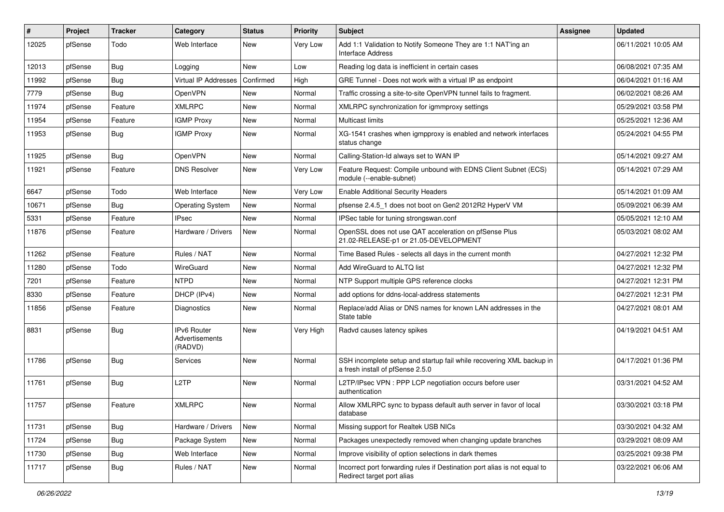| $\vert$ # | Project | <b>Tracker</b> | Category                                        | <b>Status</b> | <b>Priority</b> | Subject                                                                                                  | Assignee | <b>Updated</b>      |
|-----------|---------|----------------|-------------------------------------------------|---------------|-----------------|----------------------------------------------------------------------------------------------------------|----------|---------------------|
| 12025     | pfSense | Todo           | Web Interface                                   | New           | Very Low        | Add 1:1 Validation to Notify Someone They are 1:1 NAT'ing an<br><b>Interface Address</b>                 |          | 06/11/2021 10:05 AM |
| 12013     | pfSense | Bug            | Logging                                         | New           | Low             | Reading log data is inefficient in certain cases                                                         |          | 06/08/2021 07:35 AM |
| 11992     | pfSense | <b>Bug</b>     | Virtual IP Addresses                            | Confirmed     | High            | GRE Tunnel - Does not work with a virtual IP as endpoint                                                 |          | 06/04/2021 01:16 AM |
| 7779      | pfSense | Bug            | OpenVPN                                         | <b>New</b>    | Normal          | Traffic crossing a site-to-site OpenVPN tunnel fails to fragment.                                        |          | 06/02/2021 08:26 AM |
| 11974     | pfSense | Feature        | <b>XMLRPC</b>                                   | <b>New</b>    | Normal          | XMLRPC synchronization for igmmproxy settings                                                            |          | 05/29/2021 03:58 PM |
| 11954     | pfSense | Feature        | <b>IGMP Proxy</b>                               | New           | Normal          | Multicast limits                                                                                         |          | 05/25/2021 12:36 AM |
| 11953     | pfSense | <b>Bug</b>     | <b>IGMP Proxy</b>                               | New           | Normal          | XG-1541 crashes when igmpproxy is enabled and network interfaces<br>status change                        |          | 05/24/2021 04:55 PM |
| 11925     | pfSense | Bug            | OpenVPN                                         | <b>New</b>    | Normal          | Calling-Station-Id always set to WAN IP                                                                  |          | 05/14/2021 09:27 AM |
| 11921     | pfSense | Feature        | <b>DNS Resolver</b>                             | New           | Very Low        | Feature Request: Compile unbound with EDNS Client Subnet (ECS)<br>module (--enable-subnet)               |          | 05/14/2021 07:29 AM |
| 6647      | pfSense | Todo           | Web Interface                                   | New           | Very Low        | <b>Enable Additional Security Headers</b>                                                                |          | 05/14/2021 01:09 AM |
| 10671     | pfSense | <b>Bug</b>     | <b>Operating System</b>                         | New           | Normal          | pfsense 2.4.5_1 does not boot on Gen2 2012R2 HyperV VM                                                   |          | 05/09/2021 06:39 AM |
| 5331      | pfSense | Feature        | <b>IPsec</b>                                    | New           | Normal          | IPSec table for tuning strongswan.conf                                                                   |          | 05/05/2021 12:10 AM |
| 11876     | pfSense | Feature        | Hardware / Drivers                              | New           | Normal          | OpenSSL does not use QAT acceleration on pfSense Plus<br>21.02-RELEASE-p1 or 21.05-DEVELOPMENT           |          | 05/03/2021 08:02 AM |
| 11262     | pfSense | Feature        | Rules / NAT                                     | <b>New</b>    | Normal          | Time Based Rules - selects all days in the current month                                                 |          | 04/27/2021 12:32 PM |
| 11280     | pfSense | Todo           | WireGuard                                       | New           | Normal          | Add WireGuard to ALTQ list                                                                               |          | 04/27/2021 12:32 PM |
| 7201      | pfSense | Feature        | <b>NTPD</b>                                     | <b>New</b>    | Normal          | NTP Support multiple GPS reference clocks                                                                |          | 04/27/2021 12:31 PM |
| 8330      | pfSense | Feature        | DHCP (IPv4)                                     | New           | Normal          | add options for ddns-local-address statements                                                            |          | 04/27/2021 12:31 PM |
| 11856     | pfSense | Feature        | Diagnostics                                     | <b>New</b>    | Normal          | Replace/add Alias or DNS names for known LAN addresses in the<br>State table                             |          | 04/27/2021 08:01 AM |
| 8831      | pfSense | <b>Bug</b>     | <b>IPv6 Router</b><br>Advertisements<br>(RADVD) | New           | Very High       | Radvd causes latency spikes                                                                              |          | 04/19/2021 04:51 AM |
| 11786     | pfSense | <b>Bug</b>     | Services                                        | <b>New</b>    | Normal          | SSH incomplete setup and startup fail while recovering XML backup in<br>a fresh install of pfSense 2.5.0 |          | 04/17/2021 01:36 PM |
| 11761     | pfSense | <b>Bug</b>     | L <sub>2</sub> TP                               | <b>New</b>    | Normal          | L2TP/IPsec VPN : PPP LCP negotiation occurs before user<br>authentication                                |          | 03/31/2021 04:52 AM |
| 11757     | pfSense | Feature        | <b>XMLRPC</b>                                   | New           | Normal          | Allow XMLRPC sync to bypass default auth server in favor of local<br>database                            |          | 03/30/2021 03:18 PM |
| 11731     | pfSense | <b>Bug</b>     | Hardware / Drivers                              | New           | Normal          | Missing support for Realtek USB NICs                                                                     |          | 03/30/2021 04:32 AM |
| 11724     | pfSense | <b>Bug</b>     | Package System                                  | New           | Normal          | Packages unexpectedly removed when changing update branches                                              |          | 03/29/2021 08:09 AM |
| 11730     | pfSense | <b>Bug</b>     | Web Interface                                   | New           | Normal          | Improve visibility of option selections in dark themes                                                   |          | 03/25/2021 09:38 PM |
| 11717     | pfSense | <b>Bug</b>     | Rules / NAT                                     | New           | Normal          | Incorrect port forwarding rules if Destination port alias is not equal to<br>Redirect target port alias  |          | 03/22/2021 06:06 AM |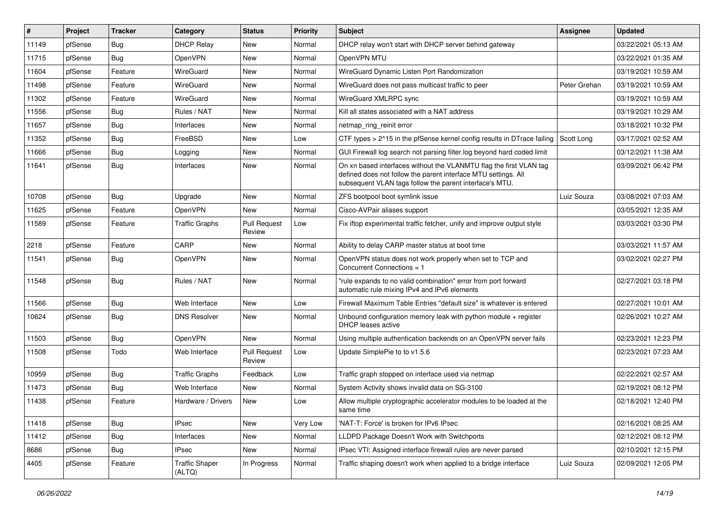| #     | Project | <b>Tracker</b> | Category                        | <b>Status</b>                 | <b>Priority</b> | <b>Subject</b>                                                                                                                                                                                  | Assignee     | <b>Updated</b>      |
|-------|---------|----------------|---------------------------------|-------------------------------|-----------------|-------------------------------------------------------------------------------------------------------------------------------------------------------------------------------------------------|--------------|---------------------|
| 11149 | pfSense | <b>Bug</b>     | <b>DHCP Relay</b>               | New                           | Normal          | DHCP relay won't start with DHCP server behind gateway                                                                                                                                          |              | 03/22/2021 05:13 AM |
| 11715 | pfSense | <b>Bug</b>     | OpenVPN                         | New                           | Normal          | OpenVPN MTU                                                                                                                                                                                     |              | 03/22/2021 01:35 AM |
| 11604 | pfSense | Feature        | WireGuard                       | New                           | Normal          | WireGuard Dynamic Listen Port Randomization                                                                                                                                                     |              | 03/19/2021 10:59 AM |
| 11498 | pfSense | Feature        | WireGuard                       | New                           | Normal          | WireGuard does not pass multicast traffic to peer                                                                                                                                               | Peter Grehan | 03/19/2021 10:59 AM |
| 11302 | pfSense | Feature        | WireGuard                       | New                           | Normal          | WireGuard XMLRPC sync                                                                                                                                                                           |              | 03/19/2021 10:59 AM |
| 11556 | pfSense | <b>Bug</b>     | Rules / NAT                     | New                           | Normal          | Kill all states associated with a NAT address                                                                                                                                                   |              | 03/19/2021 10:29 AM |
| 11657 | pfSense | <b>Bug</b>     | Interfaces                      | New                           | Normal          | netmap_ring_reinit error                                                                                                                                                                        |              | 03/18/2021 10:32 PM |
| 11352 | pfSense | <b>Bug</b>     | FreeBSD                         | New                           | Low             | CTF types > 2^15 in the pfSense kernel config results in DTrace failing                                                                                                                         | Scott Long   | 03/17/2021 02:52 AM |
| 11666 | pfSense | <b>Bug</b>     | Logging                         | New                           | Normal          | GUI Firewall log search not parsing filter.log beyond hard coded limit                                                                                                                          |              | 03/12/2021 11:38 AM |
| 11641 | pfSense | <b>Bug</b>     | Interfaces                      | New                           | Normal          | On xn based interfaces without the VLANMTU flag the first VLAN tag<br>defined does not follow the parent interface MTU settings. All<br>subsequent VLAN tags follow the parent interface's MTU. |              | 03/09/2021 06:42 PM |
| 10708 | pfSense | Bug            | Upgrade                         | New                           | Normal          | ZFS bootpool boot symlink issue                                                                                                                                                                 | Luiz Souza   | 03/08/2021 07:03 AM |
| 11625 | pfSense | Feature        | OpenVPN                         | New                           | Normal          | Cisco-AVPair aliases support                                                                                                                                                                    |              | 03/05/2021 12:35 AM |
| 11589 | pfSense | Feature        | <b>Traffic Graphs</b>           | <b>Pull Request</b><br>Review | Low             | Fix iftop experimental traffic fetcher, unify and improve output style                                                                                                                          |              | 03/03/2021 03:30 PM |
| 2218  | pfSense | Feature        | CARP                            | New                           | Normal          | Ability to delay CARP master status at boot time                                                                                                                                                |              | 03/03/2021 11:57 AM |
| 11541 | pfSense | <b>Bug</b>     | OpenVPN                         | New                           | Normal          | OpenVPN status does not work properly when set to TCP and<br>Concurrent Connections = 1                                                                                                         |              | 03/02/2021 02:27 PM |
| 11548 | pfSense | <b>Bug</b>     | Rules / NAT                     | <b>New</b>                    | Normal          | "rule expands to no valid combination" error from port forward<br>automatic rule mixing IPv4 and IPv6 elements                                                                                  |              | 02/27/2021 03:18 PM |
| 11566 | pfSense | <b>Bug</b>     | Web Interface                   | New                           | Low             | Firewall Maximum Table Entries "default size" is whatever is entered                                                                                                                            |              | 02/27/2021 10:01 AM |
| 10624 | pfSense | <b>Bug</b>     | <b>DNS Resolver</b>             | New                           | Normal          | Unbound configuration memory leak with python module $+$ register<br><b>DHCP</b> leases active                                                                                                  |              | 02/26/2021 10:27 AM |
| 11503 | pfSense | Bug            | OpenVPN                         | New                           | Normal          | Using multiple authentication backends on an OpenVPN server fails                                                                                                                               |              | 02/23/2021 12:23 PM |
| 11508 | pfSense | Todo           | Web Interface                   | <b>Pull Request</b><br>Review | Low             | Update SimplePie to to v1.5.6                                                                                                                                                                   |              | 02/23/2021 07:23 AM |
| 10959 | pfSense | <b>Bug</b>     | <b>Traffic Graphs</b>           | Feedback                      | Low             | Traffic graph stopped on interface used via netmap                                                                                                                                              |              | 02/22/2021 02:57 AM |
| 11473 | pfSense | <b>Bug</b>     | Web Interface                   | New                           | Normal          | System Activity shows invalid data on SG-3100                                                                                                                                                   |              | 02/19/2021 08:12 PM |
| 11438 | pfSense | Feature        | Hardware / Drivers              | New                           | Low             | Allow multiple cryptographic accelerator modules to be loaded at the<br>same time                                                                                                               |              | 02/18/2021 12:40 PM |
| 11418 | pfSense | <b>Bug</b>     | <b>IPsec</b>                    | New                           | Very Low        | 'NAT-T: Force' is broken for IPv6 IPsec                                                                                                                                                         |              | 02/16/2021 08:25 AM |
| 11412 | pfSense | <b>Bug</b>     | Interfaces                      | New                           | Normal          | LLDPD Package Doesn't Work with Switchports                                                                                                                                                     |              | 02/12/2021 08:12 PM |
| 8686  | pfSense | <b>Bug</b>     | <b>IPsec</b>                    | New                           | Normal          | IPsec VTI: Assigned interface firewall rules are never parsed                                                                                                                                   |              | 02/10/2021 12:15 PM |
| 4405  | pfSense | Feature        | <b>Traffic Shaper</b><br>(ALTQ) | In Progress                   | Normal          | Traffic shaping doesn't work when applied to a bridge interface                                                                                                                                 | Luiz Souza   | 02/09/2021 12:05 PM |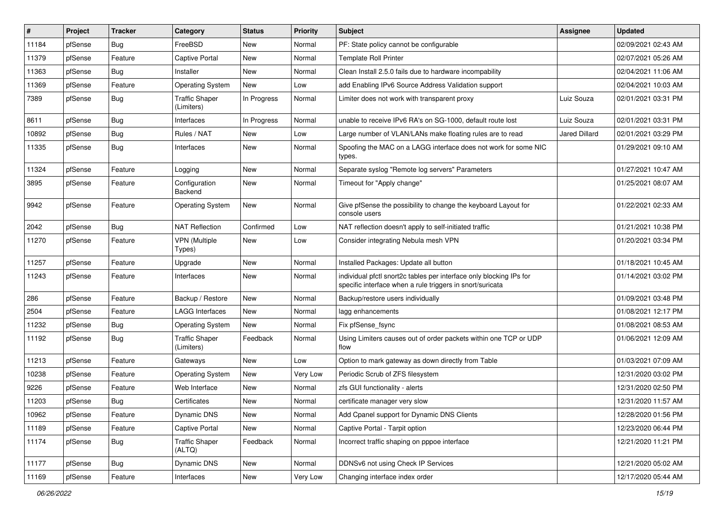| #     | Project | <b>Tracker</b> | Category                            | <b>Status</b> | <b>Priority</b> | <b>Subject</b>                                                                                                                   | Assignee             | <b>Updated</b>      |
|-------|---------|----------------|-------------------------------------|---------------|-----------------|----------------------------------------------------------------------------------------------------------------------------------|----------------------|---------------------|
| 11184 | pfSense | <b>Bug</b>     | FreeBSD                             | New           | Normal          | PF: State policy cannot be configurable                                                                                          |                      | 02/09/2021 02:43 AM |
| 11379 | pfSense | Feature        | Captive Portal                      | New           | Normal          | <b>Template Roll Printer</b>                                                                                                     |                      | 02/07/2021 05:26 AM |
| 11363 | pfSense | <b>Bug</b>     | Installer                           | New           | Normal          | Clean Install 2.5.0 fails due to hardware incompability                                                                          |                      | 02/04/2021 11:06 AM |
| 11369 | pfSense | Feature        | <b>Operating System</b>             | New           | Low             | add Enabling IPv6 Source Address Validation support                                                                              |                      | 02/04/2021 10:03 AM |
| 7389  | pfSense | <b>Bug</b>     | <b>Traffic Shaper</b><br>(Limiters) | In Progress   | Normal          | Limiter does not work with transparent proxy                                                                                     | Luiz Souza           | 02/01/2021 03:31 PM |
| 8611  | pfSense | <b>Bug</b>     | Interfaces                          | In Progress   | Normal          | unable to receive IPv6 RA's on SG-1000, default route lost                                                                       | Luiz Souza           | 02/01/2021 03:31 PM |
| 10892 | pfSense | <b>Bug</b>     | Rules / NAT                         | New           | Low             | Large number of VLAN/LANs make floating rules are to read                                                                        | <b>Jared Dillard</b> | 02/01/2021 03:29 PM |
| 11335 | pfSense | Bug            | Interfaces                          | New           | Normal          | Spoofing the MAC on a LAGG interface does not work for some NIC<br>types.                                                        |                      | 01/29/2021 09:10 AM |
| 11324 | pfSense | Feature        | Logging                             | <b>New</b>    | Normal          | Separate syslog "Remote log servers" Parameters                                                                                  |                      | 01/27/2021 10:47 AM |
| 3895  | pfSense | Feature        | Configuration<br><b>Backend</b>     | New           | Normal          | Timeout for "Apply change"                                                                                                       |                      | 01/25/2021 08:07 AM |
| 9942  | pfSense | Feature        | <b>Operating System</b>             | New           | Normal          | Give pfSense the possibility to change the keyboard Layout for<br>console users                                                  |                      | 01/22/2021 02:33 AM |
| 2042  | pfSense | Bug            | <b>NAT Reflection</b>               | Confirmed     | Low             | NAT reflection doesn't apply to self-initiated traffic                                                                           |                      | 01/21/2021 10:38 PM |
| 11270 | pfSense | Feature        | <b>VPN (Multiple</b><br>Types)      | New           | Low             | Consider integrating Nebula mesh VPN                                                                                             |                      | 01/20/2021 03:34 PM |
| 11257 | pfSense | Feature        | Upgrade                             | <b>New</b>    | Normal          | Installed Packages: Update all button                                                                                            |                      | 01/18/2021 10:45 AM |
| 11243 | pfSense | Feature        | Interfaces                          | New           | Normal          | individual pfctl snort2c tables per interface only blocking IPs for<br>specific interface when a rule triggers in snort/suricata |                      | 01/14/2021 03:02 PM |
| 286   | pfSense | Feature        | Backup / Restore                    | New           | Normal          | Backup/restore users individually                                                                                                |                      | 01/09/2021 03:48 PM |
| 2504  | pfSense | Feature        | <b>LAGG Interfaces</b>              | New           | Normal          | lagg enhancements                                                                                                                |                      | 01/08/2021 12:17 PM |
| 11232 | pfSense | <b>Bug</b>     | <b>Operating System</b>             | New           | Normal          | Fix pfSense_fsync                                                                                                                |                      | 01/08/2021 08:53 AM |
| 11192 | pfSense | <b>Bug</b>     | <b>Traffic Shaper</b><br>(Limiters) | Feedback      | Normal          | Using Limiters causes out of order packets within one TCP or UDP<br>flow                                                         |                      | 01/06/2021 12:09 AM |
| 11213 | pfSense | Feature        | Gateways                            | <b>New</b>    | Low             | Option to mark gateway as down directly from Table                                                                               |                      | 01/03/2021 07:09 AM |
| 10238 | pfSense | Feature        | <b>Operating System</b>             | New           | Very Low        | Periodic Scrub of ZFS filesystem                                                                                                 |                      | 12/31/2020 03:02 PM |
| 9226  | pfSense | Feature        | Web Interface                       | New           | Normal          | zfs GUI functionality - alerts                                                                                                   |                      | 12/31/2020 02:50 PM |
| 11203 | pfSense | <b>Bug</b>     | Certificates                        | New           | Normal          | certificate manager very slow                                                                                                    |                      | 12/31/2020 11:57 AM |
| 10962 | pfSense | Feature        | Dynamic DNS                         | New           | Normal          | Add Cpanel support for Dynamic DNS Clients                                                                                       |                      | 12/28/2020 01:56 PM |
| 11189 | pfSense | Feature        | Captive Portal                      | New           | Normal          | Captive Portal - Tarpit option                                                                                                   |                      | 12/23/2020 06:44 PM |
| 11174 | pfSense | <b>Bug</b>     | <b>Traffic Shaper</b><br>(ALTQ)     | Feedback      | Normal          | Incorrect traffic shaping on pppoe interface                                                                                     |                      | 12/21/2020 11:21 PM |
| 11177 | pfSense | Bug            | Dynamic DNS                         | New           | Normal          | DDNSv6 not using Check IP Services                                                                                               |                      | 12/21/2020 05:02 AM |
| 11169 | pfSense | Feature        | Interfaces                          | New           | Very Low        | Changing interface index order                                                                                                   |                      | 12/17/2020 05:44 AM |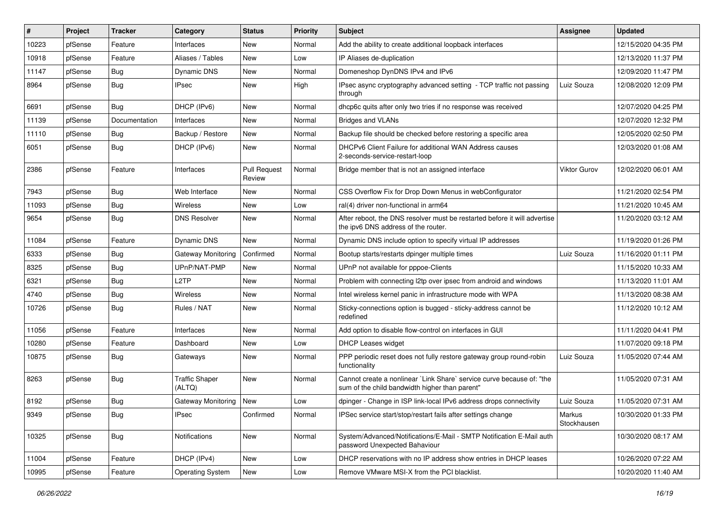| #     | Project | <b>Tracker</b> | Category                        | <b>Status</b>                 | <b>Priority</b> | Subject                                                                                                                 | <b>Assignee</b>       | <b>Updated</b>      |
|-------|---------|----------------|---------------------------------|-------------------------------|-----------------|-------------------------------------------------------------------------------------------------------------------------|-----------------------|---------------------|
| 10223 | pfSense | Feature        | Interfaces                      | New                           | Normal          | Add the ability to create additional loopback interfaces                                                                |                       | 12/15/2020 04:35 PM |
| 10918 | pfSense | Feature        | Aliases / Tables                | New                           | Low             | IP Aliases de-duplication                                                                                               |                       | 12/13/2020 11:37 PM |
| 11147 | pfSense | <b>Bug</b>     | Dynamic DNS                     | New                           | Normal          | Domeneshop DynDNS IPv4 and IPv6                                                                                         |                       | 12/09/2020 11:47 PM |
| 8964  | pfSense | Bug            | <b>IPsec</b>                    | New                           | High            | IPsec async cryptography advanced setting - TCP traffic not passing<br>through                                          | Luiz Souza            | 12/08/2020 12:09 PM |
| 6691  | pfSense | Bug            | DHCP (IPv6)                     | New                           | Normal          | dhcp6c quits after only two tries if no response was received                                                           |                       | 12/07/2020 04:25 PM |
| 11139 | pfSense | Documentation  | Interfaces                      | New                           | Normal          | <b>Bridges and VLANs</b>                                                                                                |                       | 12/07/2020 12:32 PM |
| 11110 | pfSense | Bug            | Backup / Restore                | New                           | Normal          | Backup file should be checked before restoring a specific area                                                          |                       | 12/05/2020 02:50 PM |
| 6051  | pfSense | <b>Bug</b>     | DHCP (IPv6)                     | New                           | Normal          | DHCPv6 Client Failure for additional WAN Address causes<br>2-seconds-service-restart-loop                               |                       | 12/03/2020 01:08 AM |
| 2386  | pfSense | Feature        | Interfaces                      | <b>Pull Request</b><br>Review | Normal          | Bridge member that is not an assigned interface                                                                         | Viktor Gurov          | 12/02/2020 06:01 AM |
| 7943  | pfSense | Bug            | Web Interface                   | New                           | Normal          | CSS Overflow Fix for Drop Down Menus in webConfigurator                                                                 |                       | 11/21/2020 02:54 PM |
| 11093 | pfSense | <b>Bug</b>     | Wireless                        | New                           | Low             | ral(4) driver non-functional in arm64                                                                                   |                       | 11/21/2020 10:45 AM |
| 9654  | pfSense | Bug            | <b>DNS Resolver</b>             | New                           | Normal          | After reboot, the DNS resolver must be restarted before it will advertise<br>the ipv6 DNS address of the router.        |                       | 11/20/2020 03:12 AM |
| 11084 | pfSense | Feature        | Dynamic DNS                     | New                           | Normal          | Dynamic DNS include option to specify virtual IP addresses                                                              |                       | 11/19/2020 01:26 PM |
| 6333  | pfSense | <b>Bug</b>     | Gateway Monitoring              | Confirmed                     | Normal          | Bootup starts/restarts dpinger multiple times                                                                           | Luiz Souza            | 11/16/2020 01:11 PM |
| 8325  | pfSense | Bug            | UPnP/NAT-PMP                    | New                           | Normal          | UPnP not available for pppoe-Clients                                                                                    |                       | 11/15/2020 10:33 AM |
| 6321  | pfSense | <b>Bug</b>     | L2TP                            | <b>New</b>                    | Normal          | Problem with connecting I2tp over ipsec from android and windows                                                        |                       | 11/13/2020 11:01 AM |
| 4740  | pfSense | <b>Bug</b>     | Wireless                        | New                           | Normal          | Intel wireless kernel panic in infrastructure mode with WPA                                                             |                       | 11/13/2020 08:38 AM |
| 10726 | pfSense | <b>Bug</b>     | Rules / NAT                     | New                           | Normal          | Sticky-connections option is bugged - sticky-address cannot be<br>redefined                                             |                       | 11/12/2020 10:12 AM |
| 11056 | pfSense | Feature        | Interfaces                      | <b>New</b>                    | Normal          | Add option to disable flow-control on interfaces in GUI                                                                 |                       | 11/11/2020 04:41 PM |
| 10280 | pfSense | Feature        | Dashboard                       | New                           | Low             | DHCP Leases widget                                                                                                      |                       | 11/07/2020 09:18 PM |
| 10875 | pfSense | <b>Bug</b>     | Gateways                        | New                           | Normal          | PPP periodic reset does not fully restore gateway group round-robin<br>functionality                                    | Luiz Souza            | 11/05/2020 07:44 AM |
| 8263  | pfSense | <b>Bug</b>     | <b>Traffic Shaper</b><br>(ALTQ) | New                           | Normal          | Cannot create a nonlinear `Link Share` service curve because of: "the<br>sum of the child bandwidth higher than parent" |                       | 11/05/2020 07:31 AM |
| 8192  | pfSense | <b>Bug</b>     | Gateway Monitoring   New        |                               | Low             | dpinger - Change in ISP link-local IPv6 address drops connectivity                                                      | Luiz Souza            | 11/05/2020 07:31 AM |
| 9349  | pfSense | <b>Bug</b>     | <b>IPsec</b>                    | Confirmed                     | Normal          | IPSec service start/stop/restart fails after settings change                                                            | Markus<br>Stockhausen | 10/30/2020 01:33 PM |
| 10325 | pfSense | <b>Bug</b>     | Notifications                   | New                           | Normal          | System/Advanced/Notifications/E-Mail - SMTP Notification E-Mail auth<br>password Unexpected Bahaviour                   |                       | 10/30/2020 08:17 AM |
| 11004 | pfSense | Feature        | DHCP (IPv4)                     | New                           | Low             | DHCP reservations with no IP address show entries in DHCP leases                                                        |                       | 10/26/2020 07:22 AM |
| 10995 | pfSense | Feature        | <b>Operating System</b>         | New                           | Low             | Remove VMware MSI-X from the PCI blacklist.                                                                             |                       | 10/20/2020 11:40 AM |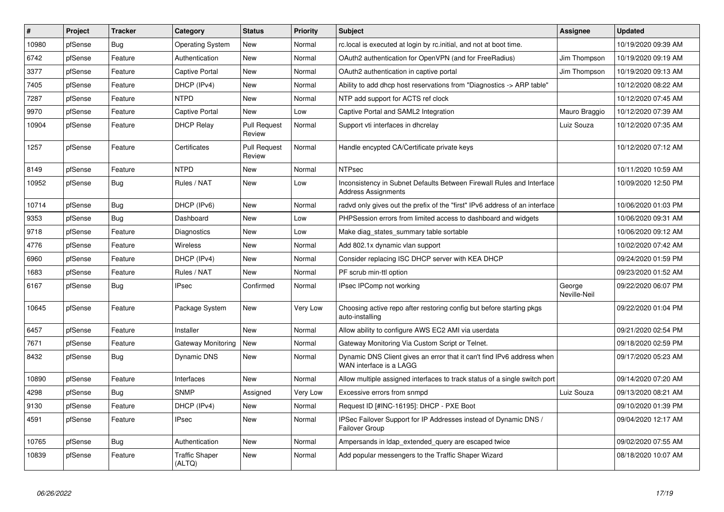| #     | Project | <b>Tracker</b> | Category                        | <b>Status</b>                 | <b>Priority</b> | <b>Subject</b>                                                                                      | Assignee               | <b>Updated</b>      |
|-------|---------|----------------|---------------------------------|-------------------------------|-----------------|-----------------------------------------------------------------------------------------------------|------------------------|---------------------|
| 10980 | pfSense | <b>Bug</b>     | <b>Operating System</b>         | <b>New</b>                    | Normal          | rc.local is executed at login by rc.initial, and not at boot time.                                  |                        | 10/19/2020 09:39 AM |
| 6742  | pfSense | Feature        | Authentication                  | <b>New</b>                    | Normal          | OAuth2 authentication for OpenVPN (and for FreeRadius)                                              | Jim Thompson           | 10/19/2020 09:19 AM |
| 3377  | pfSense | Feature        | <b>Captive Portal</b>           | New                           | Normal          | OAuth2 authentication in captive portal                                                             | Jim Thompson           | 10/19/2020 09:13 AM |
| 7405  | pfSense | Feature        | DHCP (IPv4)                     | <b>New</b>                    | Normal          | Ability to add dhcp host reservations from "Diagnostics -> ARP table"                               |                        | 10/12/2020 08:22 AM |
| 7287  | pfSense | Feature        | <b>NTPD</b>                     | <b>New</b>                    | Normal          | NTP add support for ACTS ref clock                                                                  |                        | 10/12/2020 07:45 AM |
| 9970  | pfSense | Feature        | <b>Captive Portal</b>           | <b>New</b>                    | Low             | Captive Portal and SAML2 Integration                                                                | Mauro Braggio          | 10/12/2020 07:39 AM |
| 10904 | pfSense | Feature        | <b>DHCP Relay</b>               | <b>Pull Request</b><br>Review | Normal          | Support vti interfaces in dhcrelay                                                                  | Luiz Souza             | 10/12/2020 07:35 AM |
| 1257  | pfSense | Feature        | Certificates                    | <b>Pull Request</b><br>Review | Normal          | Handle encypted CA/Certificate private keys                                                         |                        | 10/12/2020 07:12 AM |
| 8149  | pfSense | Feature        | <b>NTPD</b>                     | <b>New</b>                    | Normal          | <b>NTPsec</b>                                                                                       |                        | 10/11/2020 10:59 AM |
| 10952 | pfSense | <b>Bug</b>     | Rules / NAT                     | <b>New</b>                    | Low             | Inconsistency in Subnet Defaults Between Firewall Rules and Interface<br><b>Address Assignments</b> |                        | 10/09/2020 12:50 PM |
| 10714 | pfSense | Bug            | DHCP (IPv6)                     | <b>New</b>                    | Normal          | radvd only gives out the prefix of the "first" IPv6 address of an interface                         |                        | 10/06/2020 01:03 PM |
| 9353  | pfSense | Bug            | Dashboard                       | <b>New</b>                    | Low             | PHPSession errors from limited access to dashboard and widgets                                      |                        | 10/06/2020 09:31 AM |
| 9718  | pfSense | Feature        | Diagnostics                     | <b>New</b>                    | Low             | Make diag states summary table sortable                                                             |                        | 10/06/2020 09:12 AM |
| 4776  | pfSense | Feature        | <b>Wireless</b>                 | <b>New</b>                    | Normal          | Add 802.1x dynamic vlan support                                                                     |                        | 10/02/2020 07:42 AM |
| 6960  | pfSense | Feature        | DHCP (IPv4)                     | <b>New</b>                    | Normal          | Consider replacing ISC DHCP server with KEA DHCP                                                    |                        | 09/24/2020 01:59 PM |
| 1683  | pfSense | Feature        | Rules / NAT                     | New                           | Normal          | PF scrub min-ttl option                                                                             |                        | 09/23/2020 01:52 AM |
| 6167  | pfSense | Bug            | <b>IPsec</b>                    | Confirmed                     | Normal          | IPsec IPComp not working                                                                            | George<br>Neville-Neil | 09/22/2020 06:07 PM |
| 10645 | pfSense | Feature        | Package System                  | New                           | Very Low        | Choosing active repo after restoring config but before starting pkgs<br>auto-installing             |                        | 09/22/2020 01:04 PM |
| 6457  | pfSense | Feature        | Installer                       | <b>New</b>                    | Normal          | Allow ability to configure AWS EC2 AMI via userdata                                                 |                        | 09/21/2020 02:54 PM |
| 7671  | pfSense | Feature        | Gateway Monitoring              | <b>New</b>                    | Normal          | Gateway Monitoring Via Custom Script or Telnet.                                                     |                        | 09/18/2020 02:59 PM |
| 8432  | pfSense | Bug            | Dynamic DNS                     | <b>New</b>                    | Normal          | Dynamic DNS Client gives an error that it can't find IPv6 address when<br>WAN interface is a LAGG   |                        | 09/17/2020 05:23 AM |
| 10890 | pfSense | Feature        | Interfaces                      | <b>New</b>                    | Normal          | Allow multiple assigned interfaces to track status of a single switch port                          |                        | 09/14/2020 07:20 AM |
| 4298  | pfSense | <b>Bug</b>     | <b>SNMP</b>                     | Assigned                      | Very Low        | Excessive errors from snmpd                                                                         | Luiz Souza             | 09/13/2020 08:21 AM |
| 9130  | pfSense | Feature        | DHCP (IPv4)                     | <b>New</b>                    | Normal          | Request ID [#INC-16195]: DHCP - PXE Boot                                                            |                        | 09/10/2020 01:39 PM |
| 4591  | pfSense | Feature        | <b>IPsec</b>                    | <b>New</b>                    | Normal          | IPSec Failover Support for IP Addresses instead of Dynamic DNS /<br><b>Failover Group</b>           |                        | 09/04/2020 12:17 AM |
| 10765 | pfSense | <b>Bug</b>     | Authentication                  | <b>New</b>                    | Normal          | Ampersands in Idap_extended_query are escaped twice                                                 |                        | 09/02/2020 07:55 AM |
| 10839 | pfSense | Feature        | <b>Traffic Shaper</b><br>(ALTQ) | <b>New</b>                    | Normal          | Add popular messengers to the Traffic Shaper Wizard                                                 |                        | 08/18/2020 10:07 AM |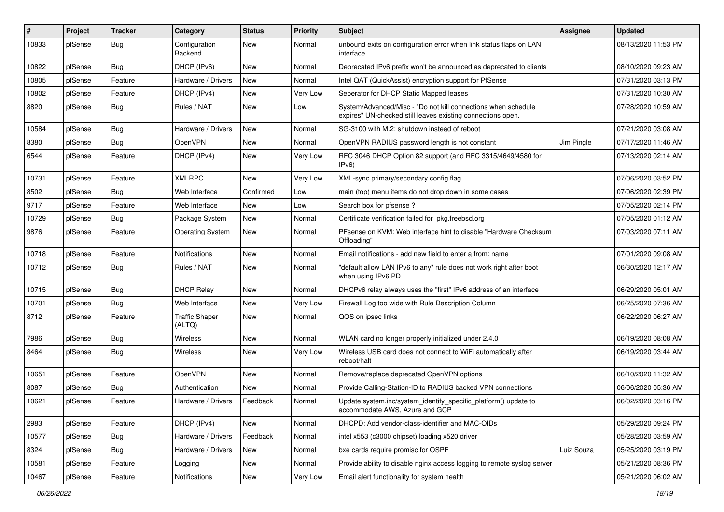| #     | Project | <b>Tracker</b> | Category                        | <b>Status</b> | <b>Priority</b> | Subject                                                                                                                      | <b>Assignee</b> | <b>Updated</b>      |
|-------|---------|----------------|---------------------------------|---------------|-----------------|------------------------------------------------------------------------------------------------------------------------------|-----------------|---------------------|
| 10833 | pfSense | <b>Bug</b>     | Configuration<br>Backend        | New           | Normal          | unbound exits on configuration error when link status flaps on LAN<br>interface                                              |                 | 08/13/2020 11:53 PM |
| 10822 | pfSense | Bug            | DHCP (IPv6)                     | New           | Normal          | Deprecated IPv6 prefix won't be announced as deprecated to clients                                                           |                 | 08/10/2020 09:23 AM |
| 10805 | pfSense | Feature        | Hardware / Drivers              | New           | Normal          | Intel QAT (QuickAssist) encryption support for PfSense                                                                       |                 | 07/31/2020 03:13 PM |
| 10802 | pfSense | Feature        | DHCP (IPv4)                     | New           | Very Low        | Seperator for DHCP Static Mapped leases                                                                                      |                 | 07/31/2020 10:30 AM |
| 8820  | pfSense | <b>Bug</b>     | Rules / NAT                     | New           | Low             | System/Advanced/Misc - "Do not kill connections when schedule<br>expires" UN-checked still leaves existing connections open. |                 | 07/28/2020 10:59 AM |
| 10584 | pfSense | Bug            | Hardware / Drivers              | New           | Normal          | SG-3100 with M.2: shutdown instead of reboot                                                                                 |                 | 07/21/2020 03:08 AM |
| 8380  | pfSense | Bug            | OpenVPN                         | New           | Normal          | OpenVPN RADIUS password length is not constant                                                                               | Jim Pingle      | 07/17/2020 11:46 AM |
| 6544  | pfSense | Feature        | DHCP (IPv4)                     | New           | Very Low        | RFC 3046 DHCP Option 82 support (and RFC 3315/4649/4580 for<br>IPv6                                                          |                 | 07/13/2020 02:14 AM |
| 10731 | pfSense | Feature        | <b>XMLRPC</b>                   | <b>New</b>    | Very Low        | XML-sync primary/secondary config flag                                                                                       |                 | 07/06/2020 03:52 PM |
| 8502  | pfSense | <b>Bug</b>     | Web Interface                   | Confirmed     | Low             | main (top) menu items do not drop down in some cases                                                                         |                 | 07/06/2020 02:39 PM |
| 9717  | pfSense | Feature        | Web Interface                   | New           | Low             | Search box for pfsense?                                                                                                      |                 | 07/05/2020 02:14 PM |
| 10729 | pfSense | <b>Bug</b>     | Package System                  | New           | Normal          | Certificate verification failed for pkg.freebsd.org                                                                          |                 | 07/05/2020 01:12 AM |
| 9876  | pfSense | Feature        | <b>Operating System</b>         | New           | Normal          | PFsense on KVM: Web interface hint to disable "Hardware Checksum"<br>Offloading'                                             |                 | 07/03/2020 07:11 AM |
| 10718 | pfSense | Feature        | Notifications                   | New           | Normal          | Email notifications - add new field to enter a from: name                                                                    |                 | 07/01/2020 09:08 AM |
| 10712 | pfSense | <b>Bug</b>     | Rules / NAT                     | New           | Normal          | "default allow LAN IPv6 to any" rule does not work right after boot<br>when using IPv6 PD                                    |                 | 06/30/2020 12:17 AM |
| 10715 | pfSense | Bug            | <b>DHCP Relay</b>               | New           | Normal          | DHCPv6 relay always uses the "first" IPv6 address of an interface                                                            |                 | 06/29/2020 05:01 AM |
| 10701 | pfSense | <b>Bug</b>     | Web Interface                   | New           | Very Low        | Firewall Log too wide with Rule Description Column                                                                           |                 | 06/25/2020 07:36 AM |
| 8712  | pfSense | Feature        | <b>Traffic Shaper</b><br>(ALTQ) | New           | Normal          | QOS on ipsec links                                                                                                           |                 | 06/22/2020 06:27 AM |
| 7986  | pfSense | <b>Bug</b>     | Wireless                        | New           | Normal          | WLAN card no longer properly initialized under 2.4.0                                                                         |                 | 06/19/2020 08:08 AM |
| 8464  | pfSense | <b>Bug</b>     | Wireless                        | New           | Very Low        | Wireless USB card does not connect to WiFi automatically after<br>reboot/halt                                                |                 | 06/19/2020 03:44 AM |
| 10651 | pfSense | Feature        | OpenVPN                         | New           | Normal          | Remove/replace deprecated OpenVPN options                                                                                    |                 | 06/10/2020 11:32 AM |
| 8087  | pfSense | <b>Bug</b>     | Authentication                  | New           | Normal          | Provide Calling-Station-ID to RADIUS backed VPN connections                                                                  |                 | 06/06/2020 05:36 AM |
| 10621 | pfSense | Feature        | Hardware / Drivers              | Feedback      | Normal          | Update system.inc/system_identify_specific_platform() update to<br>accommodate AWS, Azure and GCP                            |                 | 06/02/2020 03:16 PM |
| 2983  | pfSense | Feature        | DHCP (IPv4)                     | New           | Normal          | DHCPD: Add vendor-class-identifier and MAC-OIDs                                                                              |                 | 05/29/2020 09:24 PM |
| 10577 | pfSense | <b>Bug</b>     | Hardware / Drivers              | Feedback      | Normal          | intel x553 (c3000 chipset) loading x520 driver                                                                               |                 | 05/28/2020 03:59 AM |
| 8324  | pfSense | <b>Bug</b>     | Hardware / Drivers              | New           | Normal          | bxe cards require promisc for OSPF                                                                                           | Luiz Souza      | 05/25/2020 03:19 PM |
| 10581 | pfSense | Feature        | Logging                         | New           | Normal          | Provide ability to disable nginx access logging to remote syslog server                                                      |                 | 05/21/2020 08:36 PM |
| 10467 | pfSense | Feature        | Notifications                   | New           | Very Low        | Email alert functionality for system health                                                                                  |                 | 05/21/2020 06:02 AM |